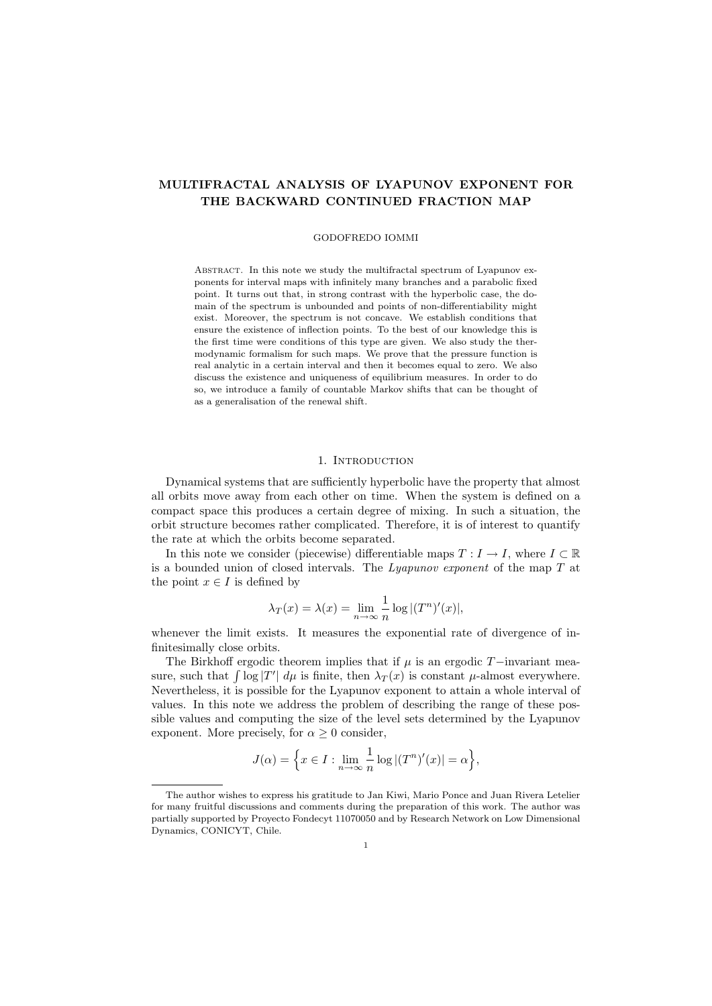# MULTIFRACTAL ANALYSIS OF LYAPUNOV EXPONENT FOR THE BACKWARD CONTINUED FRACTION MAP

#### GODOFREDO IOMMI

ABSTRACT. In this note we study the multifractal spectrum of Lyapunov exponents for interval maps with infinitely many branches and a parabolic fixed point. It turns out that, in strong contrast with the hyperbolic case, the domain of the spectrum is unbounded and points of non-differentiability might exist. Moreover, the spectrum is not concave. We establish conditions that ensure the existence of inflection points. To the best of our knowledge this is the first time were conditions of this type are given. We also study the thermodynamic formalism for such maps. We prove that the pressure function is real analytic in a certain interval and then it becomes equal to zero. We also discuss the existence and uniqueness of equilibrium measures. In order to do so, we introduce a family of countable Markov shifts that can be thought of as a generalisation of the renewal shift.

# 1. INTRODUCTION

Dynamical systems that are sufficiently hyperbolic have the property that almost all orbits move away from each other on time. When the system is defined on a compact space this produces a certain degree of mixing. In such a situation, the orbit structure becomes rather complicated. Therefore, it is of interest to quantify the rate at which the orbits become separated.

In this note we consider (piecewise) differentiable maps  $T : I \to I$ , where  $I \subset \mathbb{R}$ is a bounded union of closed intervals. The  $Lyapunov$  exponent of the map  $T$  at the point  $x \in I$  is defined by

$$
\lambda_T(x) = \lambda(x) = \lim_{n \to \infty} \frac{1}{n} \log |(T^n)'(x)|,
$$

whenever the limit exists. It measures the exponential rate of divergence of infinitesimally close orbits.

The Birkhoff ergodic theorem implies that if  $\mu$  is an ergodic T−invariant measure, such that  $\int \log |T'| d\mu$  is finite, then  $\lambda_T(x)$  is constant  $\mu$ -almost everywhere. Nevertheless, it is possible for the Lyapunov exponent to attain a whole interval of values. In this note we address the problem of describing the range of these possible values and computing the size of the level sets determined by the Lyapunov exponent. More precisely, for  $\alpha \geq 0$  consider,

$$
J(\alpha) = \left\{ x \in I : \lim_{n \to \infty} \frac{1}{n} \log |(T^n)'(x)| = \alpha \right\},\
$$

The author wishes to express his gratitude to Jan Kiwi, Mario Ponce and Juan Rivera Letelier for many fruitful discussions and comments during the preparation of this work. The author was partially supported by Proyecto Fondecyt 11070050 and by Research Network on Low Dimensional Dynamics, CONICYT, Chile.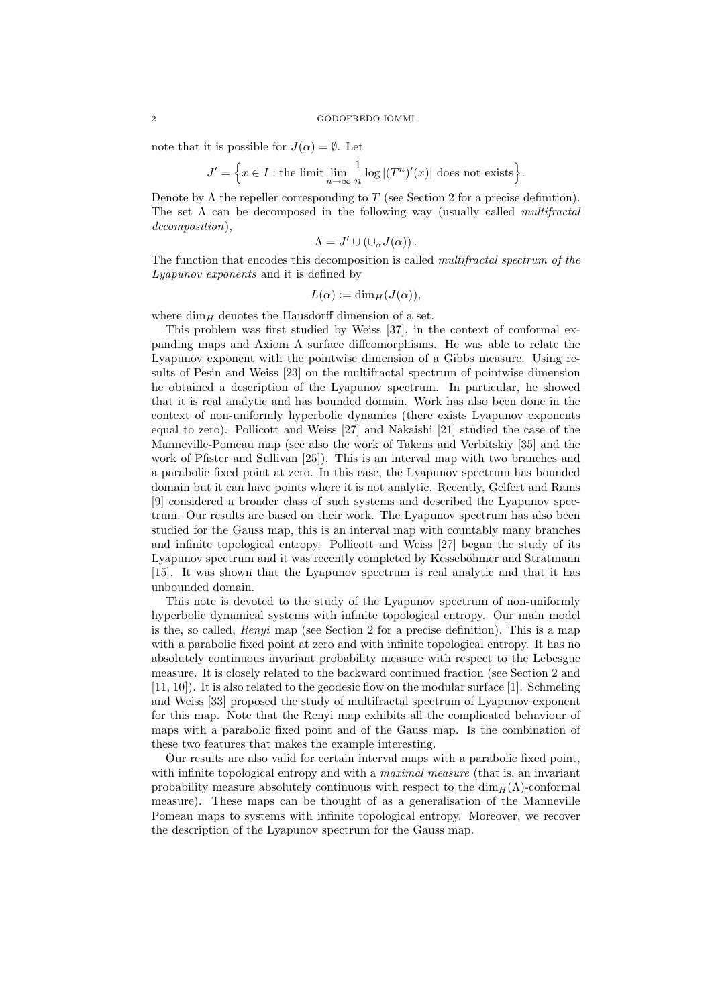note that it is possible for  $J(\alpha) = \emptyset$ . Let

$$
J' = \Big\{ x \in I : \text{the limit } \lim_{n \to \infty} \frac{1}{n} \log |(T^n)'(x)| \text{ does not exists} \Big\}.
$$

Denote by  $\Lambda$  the repeller corresponding to T (see Section 2 for a precise definition). The set  $\Lambda$  can be decomposed in the following way (usually called *multifractal* decomposition),

$$
\Lambda = J' \cup (\cup_{\alpha} J(\alpha)).
$$

The function that encodes this decomposition is called multifractal spectrum of the Lyapunov exponents and it is defined by

$$
L(\alpha) := \dim_H(J(\alpha)),
$$

where  $\dim_H$  denotes the Hausdorff dimension of a set.

This problem was first studied by Weiss [37], in the context of conformal expanding maps and Axiom A surface diffeomorphisms. He was able to relate the Lyapunov exponent with the pointwise dimension of a Gibbs measure. Using results of Pesin and Weiss [23] on the multifractal spectrum of pointwise dimension he obtained a description of the Lyapunov spectrum. In particular, he showed that it is real analytic and has bounded domain. Work has also been done in the context of non-uniformly hyperbolic dynamics (there exists Lyapunov exponents equal to zero). Pollicott and Weiss [27] and Nakaishi [21] studied the case of the Manneville-Pomeau map (see also the work of Takens and Verbitskiy [35] and the work of Pfister and Sullivan [25]). This is an interval map with two branches and a parabolic fixed point at zero. In this case, the Lyapunov spectrum has bounded domain but it can have points where it is not analytic. Recently, Gelfert and Rams [9] considered a broader class of such systems and described the Lyapunov spectrum. Our results are based on their work. The Lyapunov spectrum has also been studied for the Gauss map, this is an interval map with countably many branches and infinite topological entropy. Pollicott and Weiss [27] began the study of its Lyapunov spectrum and it was recently completed by Kesseböhmer and Stratmann [15]. It was shown that the Lyapunov spectrum is real analytic and that it has unbounded domain.

This note is devoted to the study of the Lyapunov spectrum of non-uniformly hyperbolic dynamical systems with infinite topological entropy. Our main model is the, so called, Renyi map (see Section 2 for a precise definition). This is a map with a parabolic fixed point at zero and with infinite topological entropy. It has no absolutely continuous invariant probability measure with respect to the Lebesgue measure. It is closely related to the backward continued fraction (see Section 2 and [11, 10]). It is also related to the geodesic flow on the modular surface [1]. Schmeling and Weiss [33] proposed the study of multifractal spectrum of Lyapunov exponent for this map. Note that the Renyi map exhibits all the complicated behaviour of maps with a parabolic fixed point and of the Gauss map. Is the combination of these two features that makes the example interesting.

Our results are also valid for certain interval maps with a parabolic fixed point, with infinite topological entropy and with a *maximal measure* (that is, an invariant probability measure absolutely continuous with respect to the  $\dim_H(\Lambda)$ -conformal measure). These maps can be thought of as a generalisation of the Manneville Pomeau maps to systems with infinite topological entropy. Moreover, we recover the description of the Lyapunov spectrum for the Gauss map.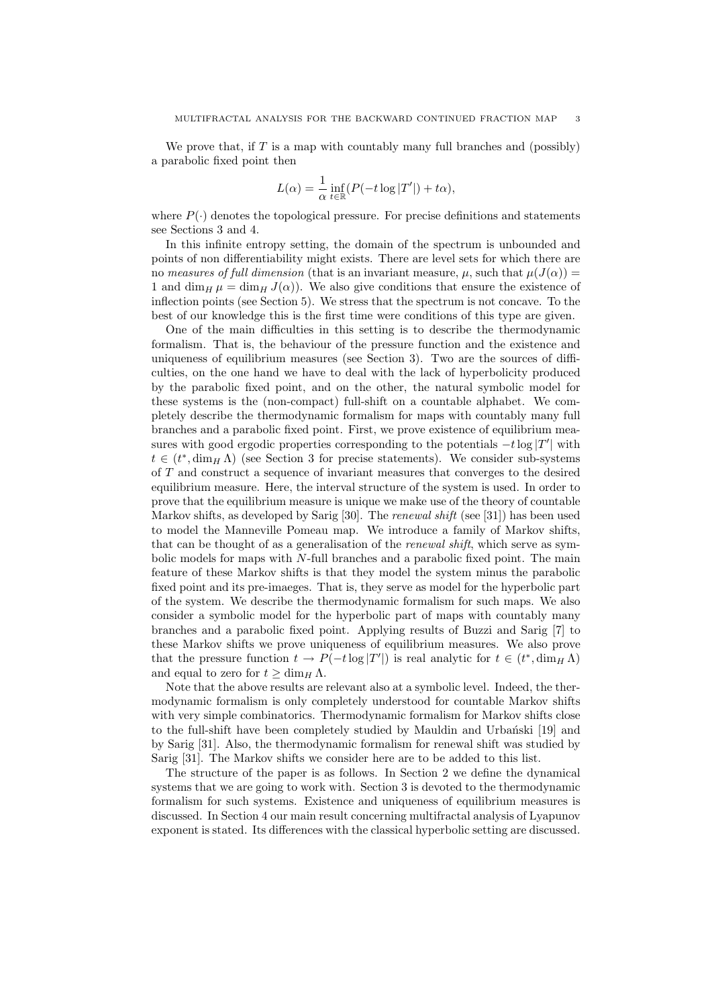We prove that, if  $T$  is a map with countably many full branches and (possibly) a parabolic fixed point then

$$
L(\alpha) = \frac{1}{\alpha} \inf_{t \in \mathbb{R}} (P(-t \log |T'|) + t\alpha),
$$

where  $P(\cdot)$  denotes the topological pressure. For precise definitions and statements see Sections 3 and 4.

In this infinite entropy setting, the domain of the spectrum is unbounded and points of non differentiability might exists. There are level sets for which there are no measures of full dimension (that is an invariant measure,  $\mu$ , such that  $\mu(J(\alpha)) =$ 1 and dim<sub>H</sub>  $\mu = \dim_H J(\alpha)$ . We also give conditions that ensure the existence of inflection points (see Section 5). We stress that the spectrum is not concave. To the best of our knowledge this is the first time were conditions of this type are given.

One of the main difficulties in this setting is to describe the thermodynamic formalism. That is, the behaviour of the pressure function and the existence and uniqueness of equilibrium measures (see Section 3). Two are the sources of difficulties, on the one hand we have to deal with the lack of hyperbolicity produced by the parabolic fixed point, and on the other, the natural symbolic model for these systems is the (non-compact) full-shift on a countable alphabet. We completely describe the thermodynamic formalism for maps with countably many full branches and a parabolic fixed point. First, we prove existence of equilibrium measures with good ergodic properties corresponding to the potentials  $-t \log |T'|$  with  $t \in (t^*, \dim_H \Lambda)$  (see Section 3 for precise statements). We consider sub-systems of T and construct a sequence of invariant measures that converges to the desired equilibrium measure. Here, the interval structure of the system is used. In order to prove that the equilibrium measure is unique we make use of the theory of countable Markov shifts, as developed by Sarig [30]. The renewal shift (see [31]) has been used to model the Manneville Pomeau map. We introduce a family of Markov shifts, that can be thought of as a generalisation of the *renewal shift*, which serve as symbolic models for maps with N-full branches and a parabolic fixed point. The main feature of these Markov shifts is that they model the system minus the parabolic fixed point and its pre-imaeges. That is, they serve as model for the hyperbolic part of the system. We describe the thermodynamic formalism for such maps. We also consider a symbolic model for the hyperbolic part of maps with countably many branches and a parabolic fixed point. Applying results of Buzzi and Sarig [7] to these Markov shifts we prove uniqueness of equilibrium measures. We also prove that the pressure function  $t \to P(-t \log |T'|)$  is real analytic for  $t \in (t^*, \dim_H \Lambda)$ and equal to zero for  $t \ge \dim_H \Lambda$ .

Note that the above results are relevant also at a symbolic level. Indeed, the thermodynamic formalism is only completely understood for countable Markov shifts with very simple combinatorics. Thermodynamic formalism for Markov shifts close to the full-shift have been completely studied by Mauldin and Urbanski [19] and by Sarig [31]. Also, the thermodynamic formalism for renewal shift was studied by Sarig [31]. The Markov shifts we consider here are to be added to this list.

The structure of the paper is as follows. In Section 2 we define the dynamical systems that we are going to work with. Section 3 is devoted to the thermodynamic formalism for such systems. Existence and uniqueness of equilibrium measures is discussed. In Section 4 our main result concerning multifractal analysis of Lyapunov exponent is stated. Its differences with the classical hyperbolic setting are discussed.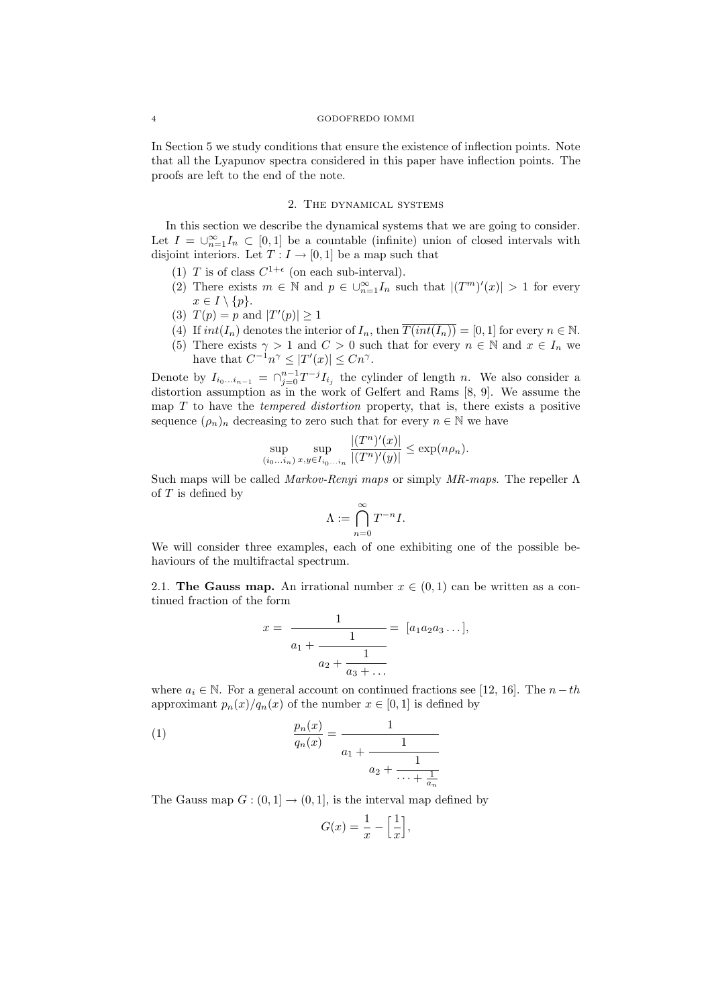In Section 5 we study conditions that ensure the existence of inflection points. Note that all the Lyapunov spectra considered in this paper have inflection points. The proofs are left to the end of the note.

# 2. The dynamical systems

In this section we describe the dynamical systems that we are going to consider. Let  $I = \bigcup_{n=1}^{\infty} I_n \subset [0,1]$  be a countable (infinite) union of closed intervals with disjoint interiors. Let  $T: I \to [0,1]$  be a map such that

- (1) T is of class  $C^{1+\epsilon}$  (on each sub-interval).
- (2) There exists  $m \in \mathbb{N}$  and  $p \in \bigcup_{n=1}^{\infty} I_n$  such that  $|(T^m)'(x)| > 1$  for every  $x \in I \setminus \{p\}.$
- (3)  $T(p) = p$  and  $|T'(p)| \ge 1$
- (4) If  $int(I_n)$  denotes the interior of  $I_n$ , then  $\overline{T(int(I_n))} = [0,1]$  for every  $n \in \mathbb{N}$ .
- (5) There exists  $\gamma > 1$  and  $C > 0$  such that for every  $n \in \mathbb{N}$  and  $x \in I_n$  we have that  $C^{-1}n^{\gamma} \leq |T'(x)| \leq Cn^{\gamma}$ .

Denote by  $I_{i_0...i_{n-1}} = \bigcap_{j=0}^{n-1} T^{-j} I_{i_j}$  the cylinder of length n. We also consider a distortion assumption as in the work of Gelfert and Rams [8, 9]. We assume the map  $T$  to have the *tempered distortion* property, that is, there exists a positive sequence  $(\rho_n)_n$  decreasing to zero such that for every  $n \in \mathbb{N}$  we have

$$
\sup_{(i_0...i_n)} \sup_{x,y \in I_{i_0...i_n}} \frac{|(T^n)'(x)|}{|(T^n)'(y)|} \le \exp(n\rho_n).
$$

Such maps will be called Markov-Renyi maps or simply  $MR$ -maps. The repeller  $\Lambda$ of  $T$  is defined by

$$
\Lambda:=\bigcap_{n=0}^\infty T^{-n}I.
$$

We will consider three examples, each of one exhibiting one of the possible behaviours of the multifractal spectrum.

2.1. The Gauss map. An irrational number  $x \in (0,1)$  can be written as a continued fraction of the form

$$
x = \frac{1}{a_1 + \frac{1}{a_2 + \frac{1}{a_3 + \dots}}} = [a_1 a_2 a_3 \dots],
$$

where  $a_i \in \mathbb{N}$ . For a general account on continued fractions see [12, 16]. The  $n-th$ approximant  $p_n(x)/q_n(x)$  of the number  $x \in [0,1]$  is defined by

(1) 
$$
\frac{p_n(x)}{q_n(x)} = \frac{1}{a_1 + \frac{1}{a_2 + \frac{1}{\cdots + \frac{1}{a_n}}}}
$$

The Gauss map  $G : (0,1] \to (0,1]$ , is the interval map defined by

$$
G(x) = \frac{1}{x} - \left[\frac{1}{x}\right],
$$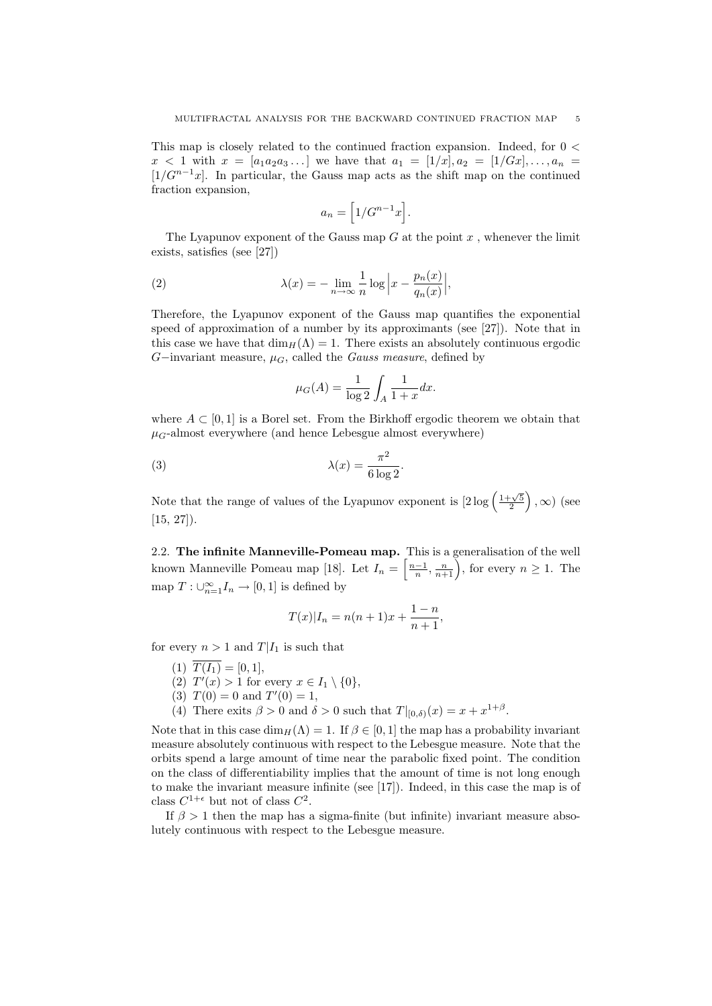This map is closely related to the continued fraction expansion. Indeed, for 0 <  $x < 1$  with  $x = [a_1 a_2 a_3 \dots]$  we have that  $a_1 = [1/x], a_2 = [1/Gx], \dots, a_n =$  $[1/G^{n-1}x]$ . In particular, the Gauss map acts as the shift map on the continued fraction expansion,

$$
a_n = \Big[1/G^{n-1}x\Big].
$$

The Lyapunov exponent of the Gauss map  $G$  at the point  $x$ , whenever the limit exists, satisfies (see [27])

(2) 
$$
\lambda(x) = -\lim_{n \to \infty} \frac{1}{n} \log \left| x - \frac{p_n(x)}{q_n(x)} \right|,
$$

Therefore, the Lyapunov exponent of the Gauss map quantifies the exponential speed of approximation of a number by its approximants (see [27]). Note that in this case we have that  $\dim_H(\Lambda) = 1$ . There exists an absolutely continuous ergodic G−invariant measure,  $\mu_G$ , called the *Gauss measure*, defined by

$$
\mu_G(A) = \frac{1}{\log 2} \int_A \frac{1}{1+x} dx.
$$

where  $A \subset [0, 1]$  is a Borel set. From the Birkhoff ergodic theorem we obtain that  $\mu_G$ -almost everywhere (and hence Lebesgue almost everywhere)

(3) 
$$
\lambda(x) = \frac{\pi^2}{6 \log 2}.
$$

Note that the range of values of the Lyapunov exponent is  $[2\log \left(\frac{1+\sqrt{5}}{2}\right)]$  $\Big)$ ,  $\infty)$  (see [15, 27]).

2.2. The infinite Manneville-Pomeau map. This is a generalisation of the well known Manneville Pomeau map [18]. Let  $I_n = \left[\frac{n-1}{n}, \frac{n}{n+1}\right)$ , for every  $n \geq 1$ . The map  $T: \bigcup_{n=1}^{\infty} I_n \to [0,1]$  is defined by

$$
T(x)|I_n = n(n+1)x + \frac{1-n}{n+1},
$$

for every  $n > 1$  and  $T|I_1$  is such that

- (1)  $T(I_1) = [0, 1],$
- (2)  $T'(x) > 1$  for every  $x \in I_1 \setminus \{0\},\$
- (3)  $T(0) = 0$  and  $T'(0) = 1$ ,
- (4) There exits  $\beta > 0$  and  $\delta > 0$  such that  $T|_{[0,\delta)}(x) = x + x^{1+\beta}$ .

Note that in this case  $\dim_H(\Lambda) = 1$ . If  $\beta \in [0, 1]$  the map has a probability invariant measure absolutely continuous with respect to the Lebesgue measure. Note that the orbits spend a large amount of time near the parabolic fixed point. The condition on the class of differentiability implies that the amount of time is not long enough to make the invariant measure infinite (see [17]). Indeed, in this case the map is of class  $C^{1+\epsilon}$  but not of class  $C^2$ .

If  $\beta > 1$  then the map has a sigma-finite (but infinite) invariant measure absolutely continuous with respect to the Lebesgue measure.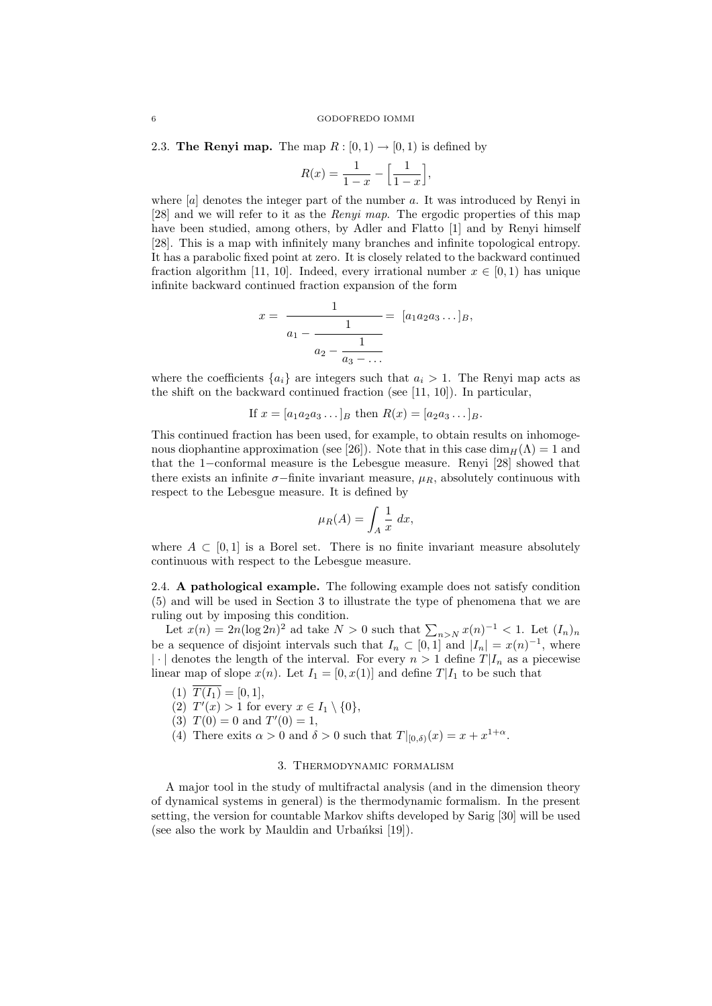2.3. The Renyi map. The map  $R : [0, 1) \rightarrow [0, 1)$  is defined by

$$
R(x) = \frac{1}{1-x} - \left[\frac{1}{1-x}\right],
$$

where  $[a]$  denotes the integer part of the number a. It was introduced by Renyi in [28] and we will refer to it as the Renyi map. The ergodic properties of this map have been studied, among others, by Adler and Flatto [1] and by Renyi himself [28]. This is a map with infinitely many branches and infinite topological entropy. It has a parabolic fixed point at zero. It is closely related to the backward continued fraction algorithm [11, 10]. Indeed, every irrational number  $x \in [0, 1)$  has unique infinite backward continued fraction expansion of the form

$$
x = \frac{1}{a_1 - \frac{1}{a_2 - \frac{1}{a_3 - \dots}}} = [a_1 a_2 a_3 \dots]_B,
$$

where the coefficients  $\{a_i\}$  are integers such that  $a_i > 1$ . The Renyi map acts as the shift on the backward continued fraction (see [11, 10]). In particular,

If  $x = [a_1 a_2 a_3 \dots]_B$  then  $R(x) = [a_2 a_3 \dots]_B$ .

This continued fraction has been used, for example, to obtain results on inhomogenous diophantine approximation (see [26]). Note that in this case  $\dim_H(\Lambda) = 1$  and that the 1−conformal measure is the Lebesgue measure. Renyi [28] showed that there exists an infinite  $\sigma$ −finite invariant measure,  $\mu_R$ , absolutely continuous with respect to the Lebesgue measure. It is defined by

$$
\mu_R(A) = \int_A \frac{1}{x} \, dx,
$$

where  $A \subset [0,1]$  is a Borel set. There is no finite invariant measure absolutely continuous with respect to the Lebesgue measure.

2.4. A pathological example. The following example does not satisfy condition (5) and will be used in Section 3 to illustrate the type of phenomena that we are ruling out by imposing this condition.

Let  $x(n) = 2n(\log 2n)^2$  ad take  $N > 0$  such that  $\sum_{n>N} x(n)^{-1} < 1$ . Let  $(I_n)_n$ be a sequence of disjoint intervals such that  $I_n \subset [0,1]$  and  $|I_n| = x(n)^{-1}$ , where  $|\cdot|$  denotes the length of the interval. For every  $n > 1$  define  $T|I_n$  as a piecewise linear map of slope  $x(n)$ . Let  $I_1 = [0, x(1)]$  and define  $T|I_1$  to be such that

- (1)  $\overline{T(I_1)} = [0, 1],$
- (2)  $T'(x) > 1$  for every  $x \in I_1 \setminus \{0\},\$
- (3)  $T(0) = 0$  and  $T'(0) = 1$ ,
- (4) There exits  $\alpha > 0$  and  $\delta > 0$  such that  $T|_{[0,\delta)}(x) = x + x^{1+\alpha}$ .

# 3. Thermodynamic formalism

A major tool in the study of multifractal analysis (and in the dimension theory of dynamical systems in general) is the thermodynamic formalism. In the present setting, the version for countable Markov shifts developed by Sarig [30] will be used (see also the work by Mauldin and Urbanksi  $[19]$ ).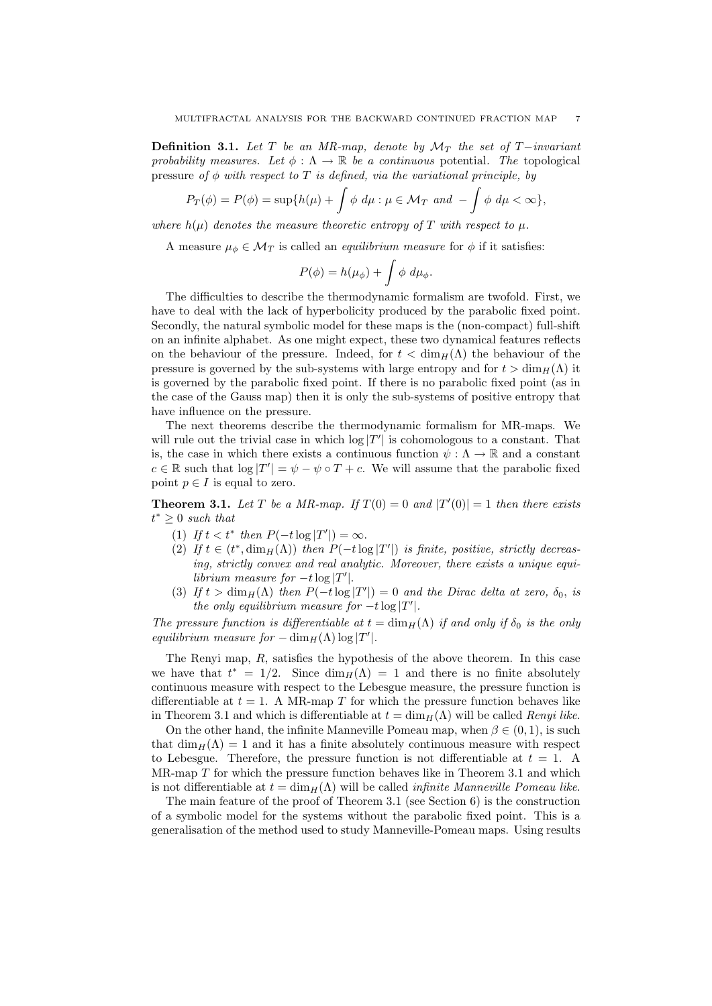**Definition 3.1.** Let T be an MR-map, denote by  $\mathcal{M}_T$  the set of T−invariant probability measures. Let  $\phi : \Lambda \to \mathbb{R}$  be a continuous potential. The topological pressure of  $\phi$  with respect to T is defined, via the variational principle, by

$$
P_T(\phi) = P(\phi) = \sup\{h(\mu) + \int \phi \, d\mu : \mu \in \mathcal{M}_T \text{ and } -\int \phi \, d\mu < \infty\},
$$

where  $h(\mu)$  denotes the measure theoretic entropy of T with respect to  $\mu$ .

A measure  $\mu_{\phi} \in \mathcal{M}_T$  is called an *equilibrium measure* for  $\phi$  if it satisfies:

$$
P(\phi) = h(\mu_{\phi}) + \int \phi \ d\mu_{\phi}.
$$

The difficulties to describe the thermodynamic formalism are twofold. First, we have to deal with the lack of hyperbolicity produced by the parabolic fixed point. Secondly, the natural symbolic model for these maps is the (non-compact) full-shift on an infinite alphabet. As one might expect, these two dynamical features reflects on the behaviour of the pressure. Indeed, for  $t < \dim_H(\Lambda)$  the behaviour of the pressure is governed by the sub-systems with large entropy and for  $t > \dim_H(\Lambda)$  it is governed by the parabolic fixed point. If there is no parabolic fixed point (as in the case of the Gauss map) then it is only the sub-systems of positive entropy that have influence on the pressure.

The next theorems describe the thermodynamic formalism for MR-maps. We will rule out the trivial case in which  $\log |T'|$  is cohomologous to a constant. That is, the case in which there exists a continuous function  $\psi : \Lambda \to \mathbb{R}$  and a constant  $c \in \mathbb{R}$  such that  $\log |T'| = \psi - \psi \circ T + c$ . We will assume that the parabolic fixed point  $p \in I$  is equal to zero.

**Theorem 3.1.** Let T be a MR-map. If  $T(0) = 0$  and  $|T'(0)| = 1$  then there exists  $t^* \geq 0$  such that

- (1) If  $t < t^*$  then  $P(-t \log |T'|) = \infty$ .
- (2) If  $t \in (t^*, \dim_H(\Lambda))$  then  $P(-t \log |T'|)$  is finite, positive, strictly decreasing, strictly convex and real analytic. Moreover, there exists a unique equilibrium measure for  $-t \log |T'|$ .
- (3) If  $t > \dim_H(\Lambda)$  then  $P(-t \log |T'|) = 0$  and the Dirac delta at zero,  $\delta_0$ , is the only equilibrium measure for  $-t \log |T'|$ .

The pressure function is differentiable at  $t = \dim_H(\Lambda)$  if and only if  $\delta_0$  is the only equilibrium measure for  $-\dim_H(\Lambda) \log |T'|$ .

The Renyi map, R, satisfies the hypothesis of the above theorem. In this case we have that  $t^* = 1/2$ . Since  $\dim_H(\Lambda) = 1$  and there is no finite absolutely continuous measure with respect to the Lebesgue measure, the pressure function is differentiable at  $t = 1$ . A MR-map T for which the pressure function behaves like in Theorem 3.1 and which is differentiable at  $t = \dim_H(\Lambda)$  will be called Renyi like.

On the other hand, the infinite Manneville Pomeau map, when  $\beta \in (0,1)$ , is such that  $\dim_H(\Lambda) = 1$  and it has a finite absolutely continuous measure with respect to Lebesgue. Therefore, the pressure function is not differentiable at  $t = 1$ . A MR-map T for which the pressure function behaves like in Theorem 3.1 and which is not differentiable at  $t = \dim_H(\Lambda)$  will be called *infinite Manneville Pomeau like.* 

The main feature of the proof of Theorem 3.1 (see Section 6) is the construction of a symbolic model for the systems without the parabolic fixed point. This is a generalisation of the method used to study Manneville-Pomeau maps. Using results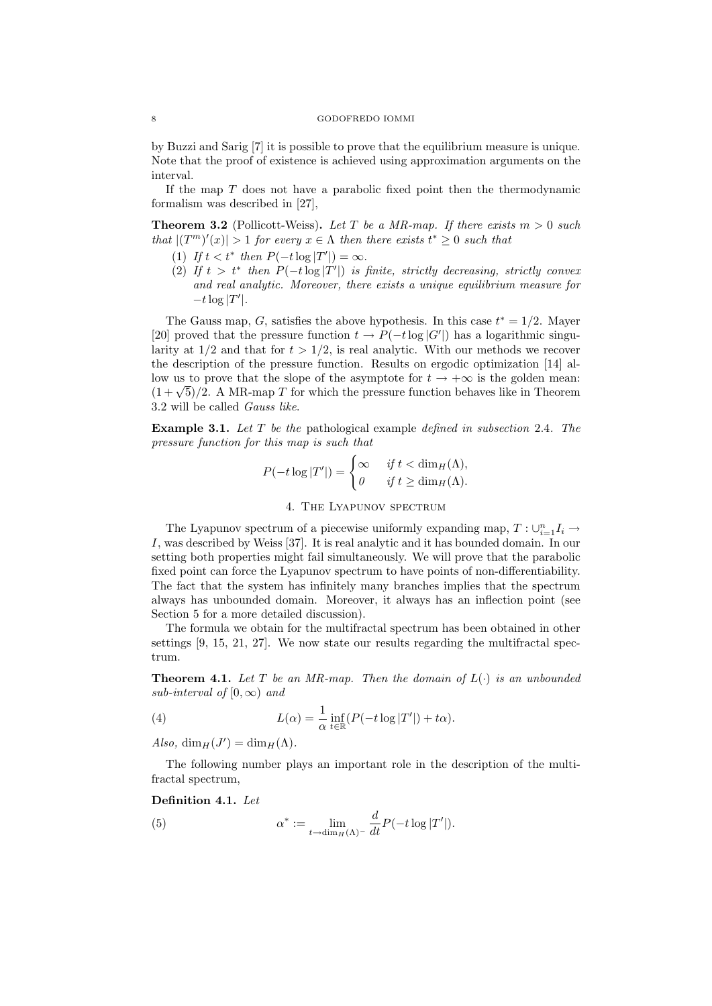by Buzzi and Sarig [7] it is possible to prove that the equilibrium measure is unique. Note that the proof of existence is achieved using approximation arguments on the interval.

If the map  $T$  does not have a parabolic fixed point then the thermodynamic formalism was described in [27],

**Theorem 3.2** (Pollicott-Weiss). Let T be a MR-map. If there exists  $m > 0$  such that  $|(T^m)'(x)| > 1$  for every  $x \in \Lambda$  then there exists  $t^* \geq 0$  such that

- (1) If  $t < t^*$  then  $P(-t \log |T'|) = \infty$ .
- (2) If  $t > t^*$  then  $P(-t \log |T'|)$  is finite, strictly decreasing, strictly convex and real analytic. Moreover, there exists a unique equilibrium measure for  $-t\log |T'|$ .

The Gauss map, G, satisfies the above hypothesis. In this case  $t^* = 1/2$ . Mayer [20] proved that the pressure function  $t \to P(-t \log |G'|)$  has a logarithmic singularity at  $1/2$  and that for  $t > 1/2$ , is real analytic. With our methods we recover the description of the pressure function. Results on ergodic optimization [14] allow us to prove that the slope of the asymptote for  $t \to +\infty$  is the golden mean:  $(1+\sqrt{5})/2$ . A MR-map T for which the pressure function behaves like in Theorem 3.2 will be called Gauss like.

Example 3.1. Let T be the pathological example defined in subsection 2.4. The pressure function for this map is such that

$$
P(-t \log |T'|) = \begin{cases} \infty & \text{if } t < \dim_H(\Lambda), \\ 0 & \text{if } t \ge \dim_H(\Lambda). \end{cases}
$$

## 4. The Lyapunov spectrum

The Lyapunov spectrum of a piecewise uniformly expanding map,  $T: \cup_{i=1}^n I_i \to \mathbb{R}$ I, was described by Weiss [37]. It is real analytic and it has bounded domain. In our setting both properties might fail simultaneously. We will prove that the parabolic fixed point can force the Lyapunov spectrum to have points of non-differentiability. The fact that the system has infinitely many branches implies that the spectrum always has unbounded domain. Moreover, it always has an inflection point (see Section 5 for a more detailed discussion).

The formula we obtain for the multifractal spectrum has been obtained in other settings [9, 15, 21, 27]. We now state our results regarding the multifractal spectrum.

**Theorem 4.1.** Let T be an MR-map. Then the domain of  $L(\cdot)$  is an unbounded sub-interval of [0, $\infty$ ) and

(4) 
$$
L(\alpha) = \frac{1}{\alpha} \inf_{t \in \mathbb{R}} (P(-t \log |T'|) + t\alpha).
$$

 $Also, \dim_H(J') = \dim_H(\Lambda).$ 

The following number plays an important role in the description of the multifractal spectrum,

### Definition 4.1. Let

(5) 
$$
\alpha^* := \lim_{t \to \dim_H(\Lambda)^-} \frac{d}{dt} P(-t \log |T'|).
$$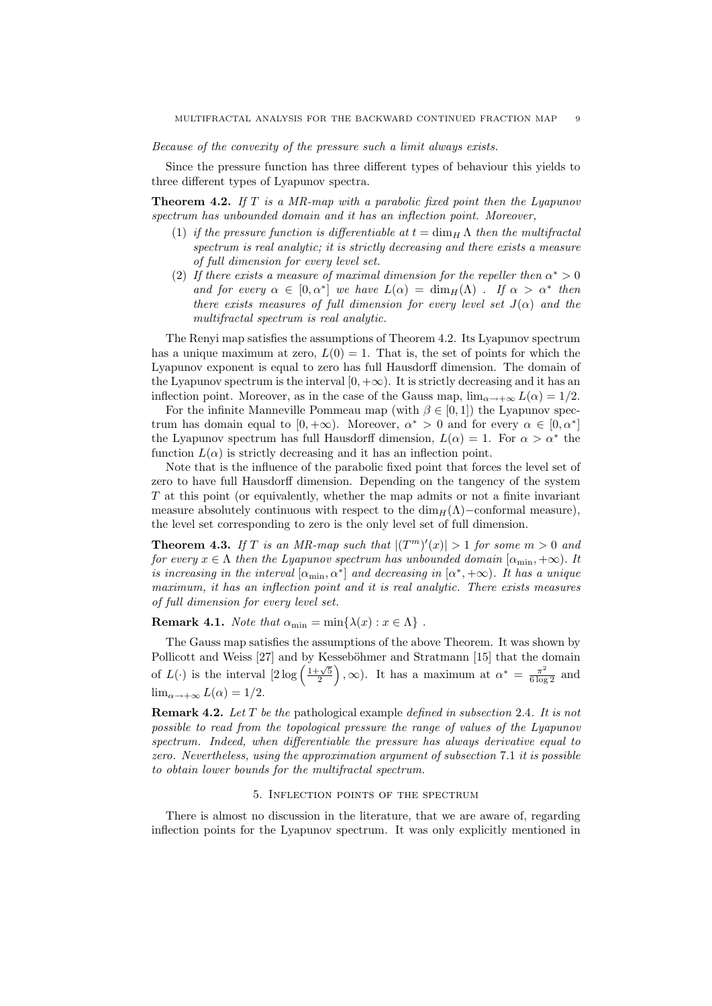Because of the convexity of the pressure such a limit always exists.

Since the pressure function has three different types of behaviour this yields to three different types of Lyapunov spectra.

**Theorem 4.2.** If  $T$  is a MR-map with a parabolic fixed point then the Lyapunov spectrum has unbounded domain and it has an inflection point. Moreover,

- (1) if the pressure function is differentiable at  $t = \dim_H \Lambda$  then the multifractal spectrum is real analytic; it is strictly decreasing and there exists a measure of full dimension for every level set.
- (2) If there exists a measure of maximal dimension for the repeller then  $\alpha^* > 0$ and for every  $\alpha \in [0, \alpha^*]$  we have  $L(\alpha) = \dim_H(\Lambda)$ . If  $\alpha > \alpha^*$  then there exists measures of full dimension for every level set  $J(\alpha)$  and the multifractal spectrum is real analytic.

The Renyi map satisfies the assumptions of Theorem 4.2. Its Lyapunov spectrum has a unique maximum at zero,  $L(0) = 1$ . That is, the set of points for which the Lyapunov exponent is equal to zero has full Hausdorff dimension. The domain of the Lyapunov spectrum is the interval  $[0, +\infty)$ . It is strictly decreasing and it has an inflection point. Moreover, as in the case of the Gauss map,  $\lim_{\alpha \to +\infty} L(\alpha) = 1/2$ .

For the infinite Manneville Pommeau map (with  $\beta \in [0,1]$ ) the Lyapunov spectrum has domain equal to  $[0, +\infty)$ . Moreover,  $\alpha^* > 0$  and for every  $\alpha \in [0, \alpha^*]$ the Lyapunov spectrum has full Hausdorff dimension,  $L(\alpha) = 1$ . For  $\alpha > \alpha^*$  the function  $L(\alpha)$  is strictly decreasing and it has an inflection point.

Note that is the influence of the parabolic fixed point that forces the level set of zero to have full Hausdorff dimension. Depending on the tangency of the system T at this point (or equivalently, whether the map admits or not a finite invariant measure absolutely continuous with respect to the  $\dim_H(\Lambda)$ –conformal measure), the level set corresponding to zero is the only level set of full dimension.

**Theorem 4.3.** If T is an MR-map such that  $|(T^m)'(x)| > 1$  for some  $m > 0$  and for every  $x \in \Lambda$  then the Lyapunov spectrum has unbounded domain  $[\alpha_{\min}, +\infty)$ . It is increasing in the interval  $[\alpha_{\min}, \alpha^*]$  and decreasing in  $[\alpha^*, +\infty)$ . It has a unique maximum, it has an inflection point and it is real analytic. There exists measures of full dimension for every level set.

**Remark 4.1.** Note that  $\alpha_{\min} = \min\{\lambda(x) : x \in \Lambda\}$ .

The Gauss map satisfies the assumptions of the above Theorem. It was shown by Pollicott and Weiss [27] and by Kesseböhmer and Stratmann [15] that the domain of  $L(\cdot)$  is the interval  $\left[2\log\left(\frac{1+\sqrt{5}}{2}\right)\right]$  $\left( \alpha \right)$ ,  $\infty$ ). It has a maximum at  $\alpha^* = \frac{\pi^2}{6 \log 2}$  and  $\lim_{\alpha \to +\infty} L(\alpha) = 1/2.$ 

**Remark 4.2.** Let T be the pathological example defined in subsection 2.4. It is not possible to read from the topological pressure the range of values of the Lyapunov spectrum. Indeed, when differentiable the pressure has always derivative equal to zero. Nevertheless, using the approximation argument of subsection 7.1 it is possible to obtain lower bounds for the multifractal spectrum.

#### 5. Inflection points of the spectrum

There is almost no discussion in the literature, that we are aware of, regarding inflection points for the Lyapunov spectrum. It was only explicitly mentioned in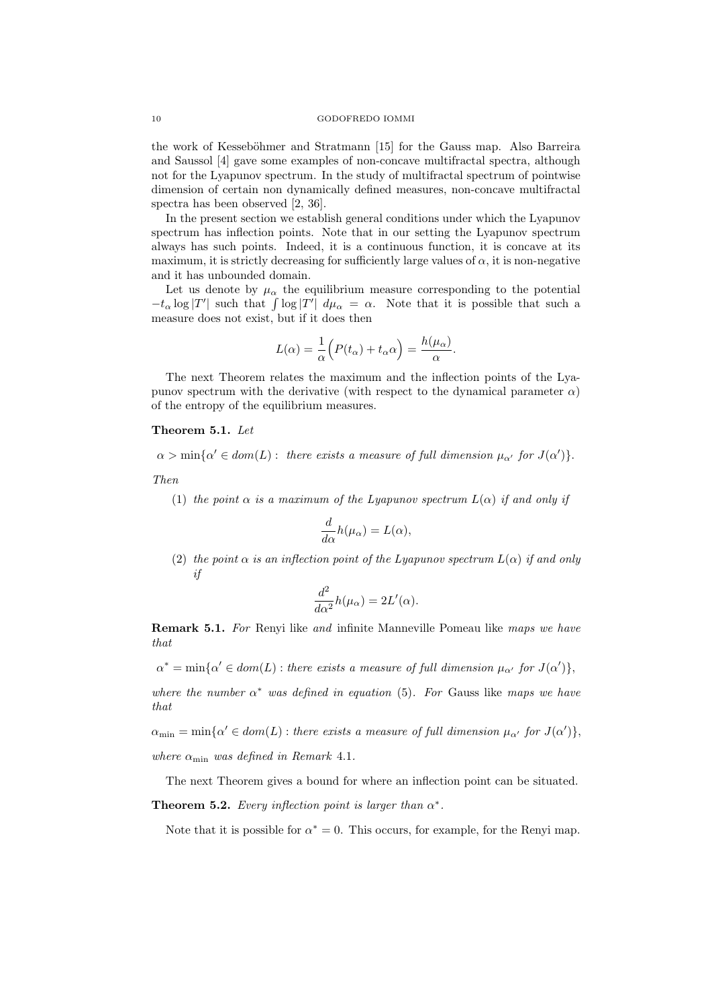the work of Kesseböhmer and Stratmann [15] for the Gauss map. Also Barreira and Saussol [4] gave some examples of non-concave multifractal spectra, although not for the Lyapunov spectrum. In the study of multifractal spectrum of pointwise dimension of certain non dynamically defined measures, non-concave multifractal spectra has been observed [2, 36].

In the present section we establish general conditions under which the Lyapunov spectrum has inflection points. Note that in our setting the Lyapunov spectrum always has such points. Indeed, it is a continuous function, it is concave at its maximum, it is strictly decreasing for sufficiently large values of  $\alpha$ , it is non-negative and it has unbounded domain.

Let us denote by  $\mu_{\alpha}$  the equilibrium measure corresponding to the potential  $-t_{\alpha} \log |T'|$  such that  $\int \log |T'| d\mu_{\alpha} = \alpha$ . Note that it is possible that such a measure does not exist, but if it does then

$$
L(\alpha) = \frac{1}{\alpha} \Big( P(t_{\alpha}) + t_{\alpha} \alpha \Big) = \frac{h(\mu_{\alpha})}{\alpha}.
$$

The next Theorem relates the maximum and the inflection points of the Lyapunov spectrum with the derivative (with respect to the dynamical parameter  $\alpha$ ) of the entropy of the equilibrium measures.

## Theorem 5.1. Let

 $\alpha > \min{\{\alpha' \in dom(L) : \text{ there exists a measure of full dimension } \mu_{\alpha'} \text{ for } J(\alpha')\}}.$ 

Then

(1) the point  $\alpha$  is a maximum of the Lyapunov spectrum  $L(\alpha)$  if and only if

$$
\frac{d}{d\alpha}h(\mu_{\alpha}) = L(\alpha),
$$

(2) the point  $\alpha$  is an inflection point of the Lyapunov spectrum  $L(\alpha)$  if and only if

$$
\frac{d^2}{d\alpha^2}h(\mu_\alpha) = 2L'(\alpha).
$$

Remark 5.1. For Renyi like and infinite Manneville Pomeau like maps we have that

 $\alpha^* = \min{\{\alpha' \in dom(L) : \text{there exists a measure of full dimension } \mu_{\alpha'} \text{ for } J(\alpha')\}},$ 

where the number  $\alpha^*$  was defined in equation (5). For Gauss like maps we have that

 $\alpha_{\min} = \min{\{\alpha' \in dom(L) : \text{there exists a measure of full dimension } \mu_{\alpha'} \text{ for } J(\alpha')\}},$ where  $\alpha_{\min}$  was defined in Remark 4.1.

The next Theorem gives a bound for where an inflection point can be situated.

**Theorem 5.2.** Every inflection point is larger than  $\alpha^*$ .

Note that it is possible for  $\alpha^* = 0$ . This occurs, for example, for the Renyi map.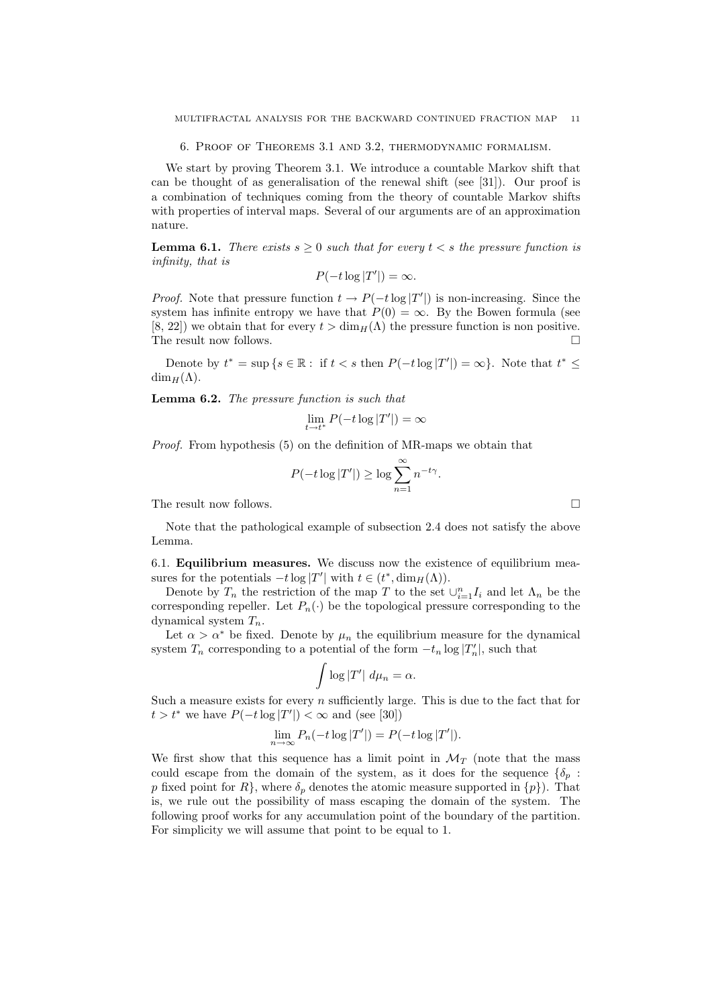6. Proof of Theorems 3.1 and 3.2, thermodynamic formalism.

We start by proving Theorem 3.1. We introduce a countable Markov shift that can be thought of as generalisation of the renewal shift (see [31]). Our proof is a combination of techniques coming from the theory of countable Markov shifts with properties of interval maps. Several of our arguments are of an approximation nature.

**Lemma 6.1.** There exists  $s \geq 0$  such that for every  $t < s$  the pressure function is infinity, that is

$$
P(-t\log|T'|)=\infty.
$$

*Proof.* Note that pressure function  $t \to P(-t \log |T'|)$  is non-increasing. Since the system has infinite entropy we have that  $P(0) = \infty$ . By the Bowen formula (see [8, 22]) we obtain that for every  $t > \dim_H(\Lambda)$  the pressure function is non positive. The result now follows.

Denote by  $t^* = \sup \{ s \in \mathbb{R} : \text{ if } t < s \text{ then } P(-t \log |T'|) = \infty \}.$  Note that  $t^* \leq$  $\dim_H(\Lambda)$ .

Lemma 6.2. The pressure function is such that

$$
\lim_{t \to t^*} P(-t \log |T'|) = \infty
$$

Proof. From hypothesis (5) on the definition of MR-maps we obtain that

$$
P(-t \log |T'|) \ge \log \sum_{n=1}^{\infty} n^{-t\gamma}.
$$

The result now follows.

Note that the pathological example of subsection 2.4 does not satisfy the above Lemma.

6.1. Equilibrium measures. We discuss now the existence of equilibrium measures for the potentials  $-t \log |T'|$  with  $t \in (t^*, \dim_H(\Lambda)).$ 

Denote by  $T_n$  the restriction of the map T to the set  $\bigcup_{i=1}^n I_i$  and let  $\Lambda_n$  be the corresponding repeller. Let  $P_n(\cdot)$  be the topological pressure corresponding to the dynamical system  $T_n$ .

Let  $\alpha > \alpha^*$  be fixed. Denote by  $\mu_n$  the equilibrium measure for the dynamical system  $T_n$  corresponding to a potential of the form  $-t_n \log |T'_n|$ , such that

$$
\int \log |T'| \ d\mu_n = \alpha.
$$

Such a measure exists for every n sufficiently large. This is due to the fact that for  $t > t^*$  we have  $P(-t \log |T'|) < \infty$  and (see [30])

$$
\lim_{n \to \infty} P_n(-t \log |T'|) = P(-t \log |T'|).
$$

We first show that this sequence has a limit point in  $\mathcal{M}_T$  (note that the mass could escape from the domain of the system, as it does for the sequence  $\{\delta_p :$ p fixed point for  $R$ , where  $\delta_p$  denotes the atomic measure supported in  $\{p\}$ . That is, we rule out the possibility of mass escaping the domain of the system. The following proof works for any accumulation point of the boundary of the partition. For simplicity we will assume that point to be equal to 1.

$$
\qquad \qquad \Box
$$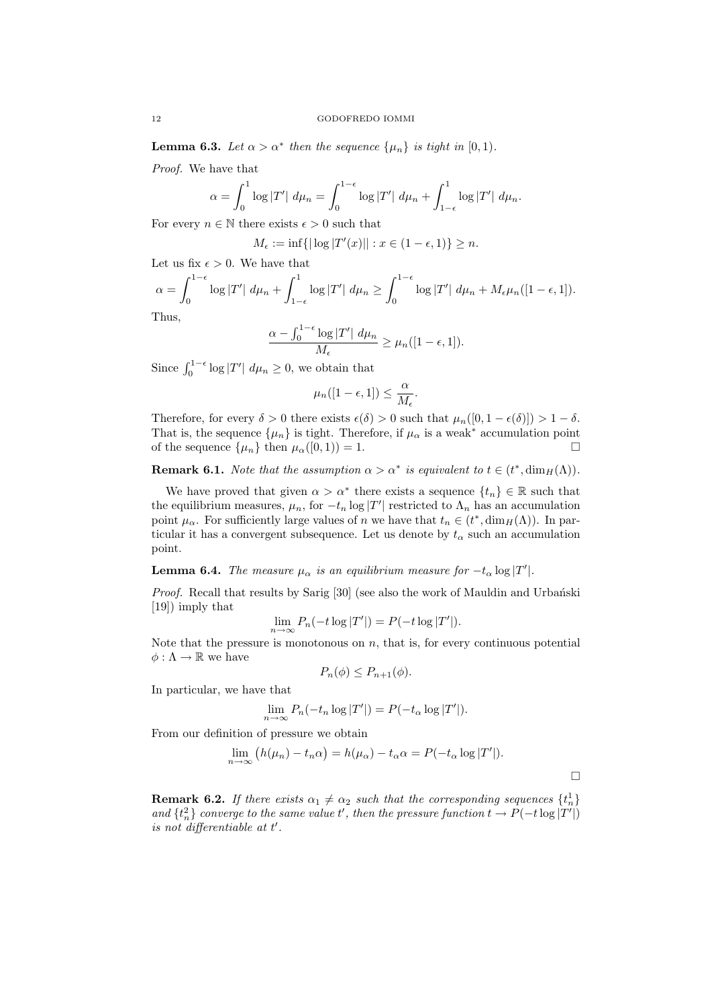**Lemma 6.3.** Let  $\alpha > \alpha^*$  then the sequence  $\{\mu_n\}$  is tight in [0, 1).

Proof. We have that

$$
\alpha = \int_0^1 \log |T'| \ d\mu_n = \int_0^{1-\epsilon} \log |T'| \ d\mu_n + \int_{1-\epsilon}^1 \log |T'| \ d\mu_n.
$$

For every  $n \in \mathbb{N}$  there exists  $\epsilon > 0$  such that

$$
M_{\epsilon} := \inf\{|\log |T'(x)|| : x \in (1 - \epsilon, 1)\} \ge n.
$$

Let us fix  $\epsilon > 0$ . We have that

$$
\alpha = \int_0^{1-\epsilon} \log |T'| d\mu_n + \int_{1-\epsilon}^1 \log |T'| d\mu_n \ge \int_0^{1-\epsilon} \log |T'| d\mu_n + M_{\epsilon}\mu_n([1-\epsilon,1]).
$$
  
Thus,

Thus,

$$
\frac{\alpha - \int_0^{1-\epsilon} \log |T'| \ d\mu_n}{M_{\epsilon}} \ge \mu_n([1-\epsilon, 1]).
$$

Since  $\int_0^{1-\epsilon} \log |T'| d\mu_n \ge 0$ , we obtain that

$$
\mu_n([1-\epsilon, 1]) \leq \frac{\alpha}{M_{\epsilon}}.
$$

Therefore, for every  $\delta > 0$  there exists  $\epsilon(\delta) > 0$  such that  $\mu_n([0, 1 - \epsilon(\delta)]) > 1 - \delta$ . That is, the sequence  $\{\mu_n\}$  is tight. Therefore, if  $\mu_\alpha$  is a weak<sup>\*</sup> accumulation point of the sequence  $\{\mu_n\}$  then  $\mu_n([0, 1)) = 1$ of the sequence  $\{\mu_n\}$  then  $\mu_\alpha([0,1)) = 1$ .

**Remark 6.1.** Note that the assumption  $\alpha > \alpha^*$  is equivalent to  $t \in (t^*, \dim_H(\Lambda))$ .

We have proved that given  $\alpha > \alpha^*$  there exists a sequence  $\{t_n\} \in \mathbb{R}$  such that the equilibrium measures,  $\mu_n$ , for  $-t_n$  log  $|T'|$  restricted to  $\Lambda_n$  has an accumulation point  $\mu_{\alpha}$ . For sufficiently large values of n we have that  $t_n \in (t^*, \dim_H(\Lambda))$ . In particular it has a convergent subsequence. Let us denote by  $t_{\alpha}$  such an accumulation point.

**Lemma 6.4.** The measure  $\mu_{\alpha}$  is an equilibrium measure for  $-t_{\alpha} \log |T'|$ .

Proof. Recall that results by Sarig [30] (see also the work of Mauldin and Urbański [19]) imply that

$$
\lim_{n \to \infty} P_n(-t \log |T'|) = P(-t \log |T'|).
$$

Note that the pressure is monotonous on  $n$ , that is, for every continuous potential  $\phi: \Lambda \to \mathbb{R}$  we have

$$
P_n(\phi) \le P_{n+1}(\phi).
$$

In particular, we have that

$$
\lim_{n \to \infty} P_n(-t_n \log |T'|) = P(-t_\alpha \log |T'|).
$$

From our definition of pressure we obtain

$$
\lim_{n \to \infty} (h(\mu_n) - t_n \alpha) = h(\mu_\alpha) - t_\alpha \alpha = P(-t_\alpha \log |T'|).
$$

**Remark 6.2.** If there exists  $\alpha_1 \neq \alpha_2$  such that the corresponding sequences  $\{t_n^1\}$ and  $\{t_n^2\}$  converge to the same value t', then the pressure function  $t \to P(-t \log |T'|)$ is not differentiable at  $t'$ .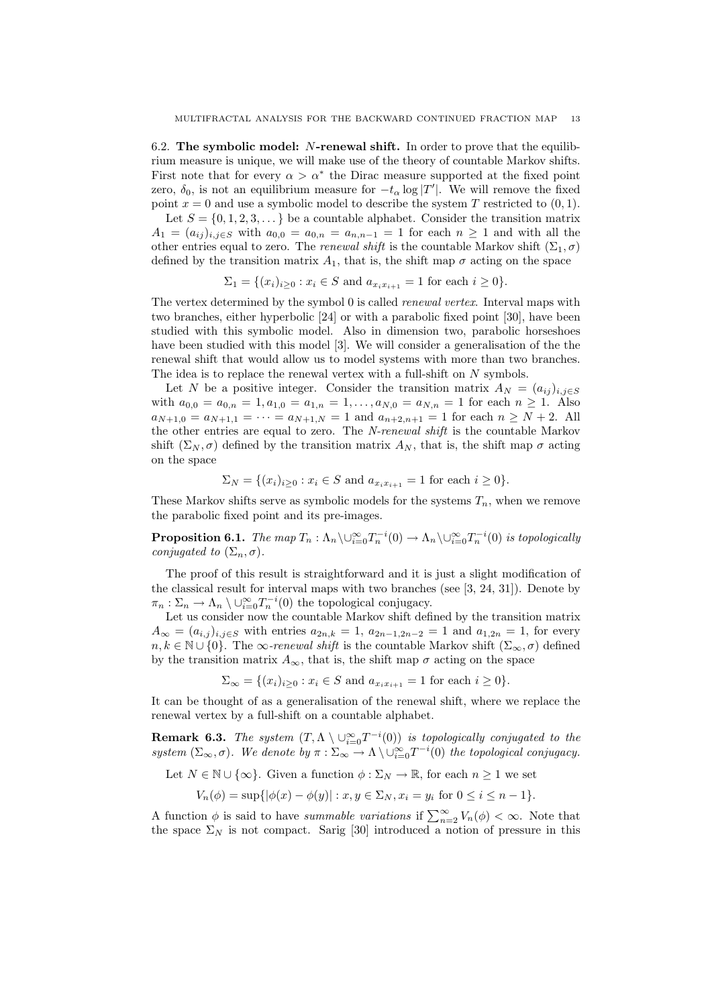6.2. The symbolic model: N-renewal shift. In order to prove that the equilibrium measure is unique, we will make use of the theory of countable Markov shifts. First note that for every  $\alpha > \alpha^*$  the Dirac measure supported at the fixed point zero,  $\delta_0$ , is not an equilibrium measure for  $-t_\alpha \log |T'|$ . We will remove the fixed point  $x = 0$  and use a symbolic model to describe the system T restricted to  $(0, 1)$ .

Let  $S = \{0, 1, 2, 3, \dots\}$  be a countable alphabet. Consider the transition matrix  $A_1 = (a_{ij})_{i,j \in S}$  with  $a_{0,0} = a_{0,n} = a_{n,n-1} = 1$  for each  $n \ge 1$  and with all the other entries equal to zero. The renewal shift is the countable Markov shift  $(\Sigma_1, \sigma)$ defined by the transition matrix  $A_1$ , that is, the shift map  $\sigma$  acting on the space

$$
\Sigma_1 = \{(x_i)_{i \ge 0} : x_i \in S \text{ and } a_{x_i x_{i+1}} = 1 \text{ for each } i \ge 0\}.
$$

The vertex determined by the symbol 0 is called renewal vertex. Interval maps with two branches, either hyperbolic [24] or with a parabolic fixed point [30], have been studied with this symbolic model. Also in dimension two, parabolic horseshoes have been studied with this model [3]. We will consider a generalisation of the the renewal shift that would allow us to model systems with more than two branches. The idea is to replace the renewal vertex with a full-shift on N symbols.

Let N be a positive integer. Consider the transition matrix  $A_N = (a_{ij})_{i,j \in S}$ with  $a_{0,0} = a_{0,n} = 1, a_{1,0} = a_{1,n} = 1, \ldots, a_{N,0} = a_{N,n} = 1$  for each  $n \ge 1$ . Also  $a_{N+1,0} = a_{N+1,1} = \cdots = a_{N+1,N} = 1$  and  $a_{n+2,n+1} = 1$  for each  $n \ge N+2$ . All the other entries are equal to zero. The N-renewal shift is the countable Markov shift  $(\Sigma_N, \sigma)$  defined by the transition matrix  $A_N$ , that is, the shift map  $\sigma$  acting on the space

$$
\Sigma_N = \{(x_i)_{i \ge 0} : x_i \in S \text{ and } a_{x_i x_{i+1}} = 1 \text{ for each } i \ge 0\}.
$$

These Markov shifts serve as symbolic models for the systems  $T_n$ , when we remove the parabolic fixed point and its pre-images.

**Proposition 6.1.** The map  $T_n : \Lambda_n \setminus \cup_{i=0}^{\infty} T_n^{-i}(0) \to \Lambda_n \setminus \cup_{i=0}^{\infty} T_n^{-i}(0)$  is topologically conjugated to  $(\Sigma_n, \sigma)$ .

The proof of this result is straightforward and it is just a slight modification of the classical result for interval maps with two branches (see [3, 24, 31]). Denote by  $\pi_n : \Sigma_n \to \Lambda_n \setminus \cup_{i=0}^{\infty} T_n^{-i}(0)$  the topological conjugacy.

Let us consider now the countable Markov shift defined by the transition matrix  $A_{\infty} = (a_{i,j})_{i,j \in S}$  with entries  $a_{2n,k} = 1$ ,  $a_{2n-1,2n-2} = 1$  and  $a_{1,2n} = 1$ , for every  $n, k \in \mathbb{N} \cup \{0\}$ . The  $\infty$ -renewal shift is the countable Markov shift  $(\Sigma_{\infty}, \sigma)$  defined by the transition matrix  $A_{\infty}$ , that is, the shift map  $\sigma$  acting on the space

 $\Sigma_{\infty} = \{(x_i)_{i>0} : x_i \in S \text{ and } a_{x_ix_{i+1}} = 1 \text{ for each } i \geq 0\}.$ 

It can be thought of as a generalisation of the renewal shift, where we replace the renewal vertex by a full-shift on a countable alphabet.

**Remark 6.3.** The system  $(T, \Lambda \setminus \cup_{i=0}^{\infty} T^{-i}(0))$  is topologically conjugated to the system  $(\Sigma_{\infty}, \sigma)$ . We denote by  $\pi : \Sigma_{\infty} \to \Lambda \setminus \cup_{i=0}^{\infty} T^{-i}(0)$  the topological conjugacy.

Let 
$$
N \in \mathbb{N} \cup \{\infty\}
$$
. Given a function  $\phi : \Sigma_N \to \mathbb{R}$ , for each  $n \ge 1$  we set

$$
V_n(\phi) = \sup\{|\phi(x) - \phi(y)| : x, y \in \Sigma_N, x_i = y_i \text{ for } 0 \le i \le n - 1\}.
$$

A function  $\phi$  is said to have summable variations if  $\sum_{n=2}^{\infty} V_n(\phi) < \infty$ . Note that the space  $\Sigma_N$  is not compact. Sarig [30] introduced a notion of pressure in this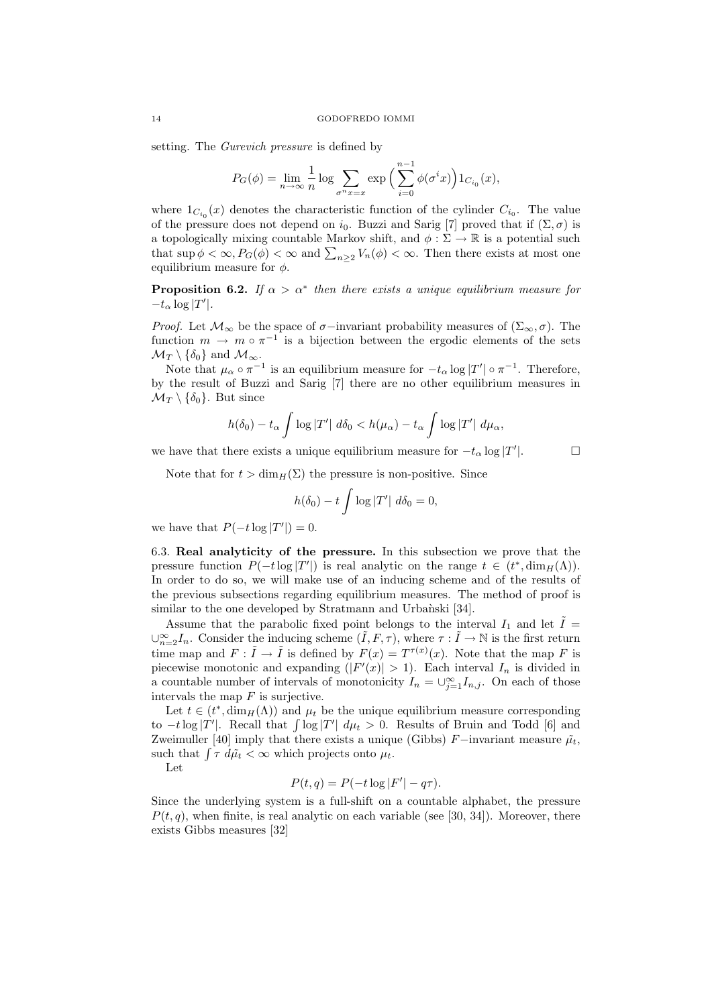setting. The Gurevich pressure is defined by

$$
P_G(\phi) = \lim_{n \to \infty} \frac{1}{n} \log \sum_{\sigma^n x = x} \exp \left( \sum_{i=0}^{n-1} \phi(\sigma^i x) \right) 1_{C_{i_0}}(x),
$$

where  $1_{C_{i_0}}(x)$  denotes the characteristic function of the cylinder  $C_{i_0}$ . The value of the pressure does not depend on  $i_0$ . Buzzi and Sarig [7] proved that if  $(\Sigma, \sigma)$  is a topologically mixing countable Markov shift, and  $\phi : \Sigma \to \mathbb{R}$  is a potential such that  $\sup \phi < \infty$ ,  $P_G(\phi) < \infty$  and  $\sum_{n\geq 2} V_n(\phi) < \infty$ . Then there exists at most one equilibrium measure for  $\phi$ .

**Proposition 6.2.** If  $\alpha > \alpha^*$  then there exists a unique equilibrium measure for  $-t_{\alpha} \log |T'|.$ 

*Proof.* Let  $\mathcal{M}_{\infty}$  be the space of  $\sigma$ –invariant probability measures of  $(\Sigma_{\infty}, \sigma)$ . The function  $m \to m \circ \pi^{-1}$  is a bijection between the ergodic elements of the sets  $\mathcal{M}_T \setminus \{\delta_0\}$  and  $\mathcal{M}_{\infty}$ .

Note that  $\mu_{\alpha} \circ \pi^{-1}$  is an equilibrium measure for  $-t_{\alpha} \log |T'| \circ \pi^{-1}$ . Therefore, by the result of Buzzi and Sarig [7] there are no other equilibrium measures in  $\mathcal{M}_T \setminus \{\delta_0\}.$  But since

$$
h(\delta_0) - t_\alpha \int \log |T'| \, d\delta_0 < h(\mu_\alpha) - t_\alpha \int \log |T'| \, d\mu_\alpha,
$$

 $\Box$ 

we have that there exists a unique equilibrium measure for  $-t_{\alpha} \log |T'|$ .

Note that for  $t > \dim_H(\Sigma)$  the pressure is non-positive. Since

$$
h(\delta_0)-t\int\log|T'|\ d\delta_0=0,
$$

we have that  $P(-t \log |T'|) = 0$ .

6.3. Real analyticity of the pressure. In this subsection we prove that the pressure function  $P(-t \log |T'|)$  is real analytic on the range  $t \in (t^*, \dim_H(\Lambda))$ . In order to do so, we will make use of an inducing scheme and of the results of the previous subsections regarding equilibrium measures. The method of proof is similar to the one developed by Stratmann and Urbanski [34].

Assume that the parabolic fixed point belongs to the interval  $I_1$  and let  $\tilde{I}$  =  $\cup_{n=2}^{\infty} I_n$ . Consider the inducing scheme  $(\tilde{I}, F, \tau)$ , where  $\tau : \tilde{I} \to \mathbb{N}$  is the first return time map and  $F: \tilde{I} \to \tilde{I}$  is defined by  $F(x) = T^{\tau(x)}(x)$ . Note that the map F is piecewise monotonic and expanding  $(|F'(x)| > 1)$ . Each interval  $I_n$  is divided in a countable number of intervals of monotonicity  $I_n = \bigcup_{j=1}^{\infty} I_{n,j}$ . On each of those intervals the map  $F$  is surjective.

Let  $t \in (t^*, \dim_H(\Lambda))$  and  $\mu_t$  be the unique equilibrium measure corresponding to  $-t \log |T'|$ . Recall that  $\int \log |T'| d\mu_t > 0$ . Results of Bruin and Todd [6] and Zweimuller [40] imply that there exists a unique (Gibbs) F−invariant measure  $\tilde{\mu}_t$ , such that  $\int \tau \ d\tilde{\mu}_t < \infty$  which projects onto  $\mu_t$ .

Let

$$
P(t,q) = P(-t \log |F'| - q\tau).
$$

Since the underlying system is a full-shift on a countable alphabet, the pressure  $P(t, q)$ , when finite, is real analytic on each variable (see [30, 34]). Moreover, there exists Gibbs measures [32]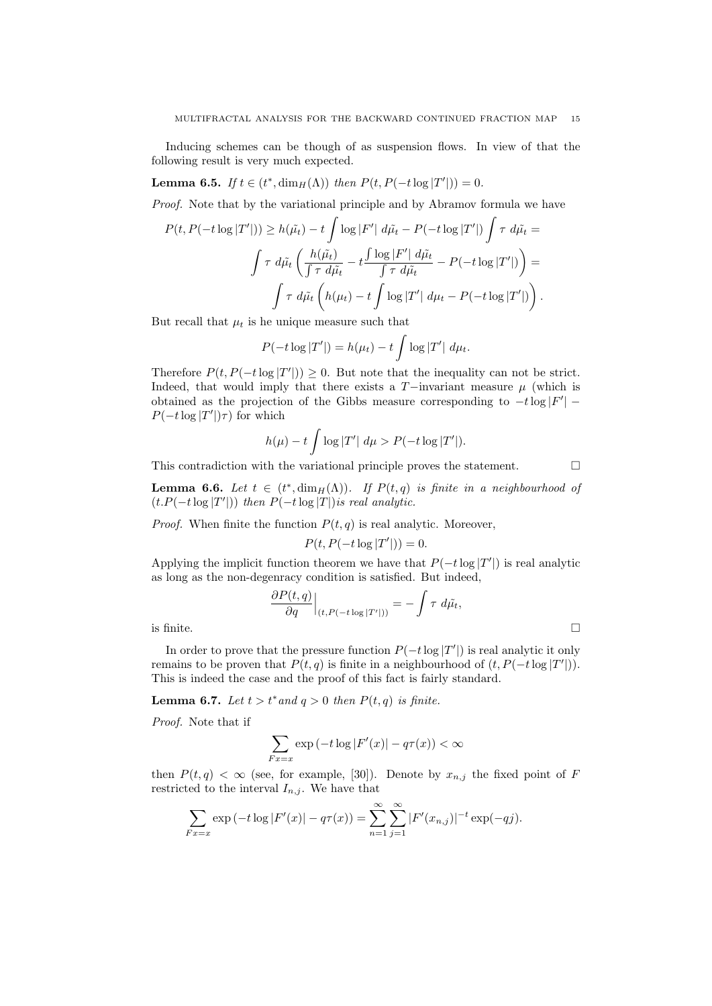Inducing schemes can be though of as suspension flows. In view of that the following result is very much expected.

**Lemma 6.5.** If  $t \in (t^*, \dim_H(\Lambda))$  then  $P(t, P(-t \log |T'|)) = 0$ .

Proof. Note that by the variational principle and by Abramov formula we have

$$
P(t, P(-t \log |T'|)) \ge h(\tilde{\mu}_t) - t \int \log |F'| d\tilde{\mu}_t - P(-t \log |T'|) \int \tau d\tilde{\mu}_t =
$$
  

$$
\int \tau d\tilde{\mu}_t \left( \frac{h(\tilde{\mu}_t)}{\int \tau d\tilde{\mu}_t} - t \frac{\int \log |F'| d\tilde{\mu}_t}{\int \tau d\tilde{\mu}_t} - P(-t \log |T'|) \right) =
$$
  

$$
\int \tau d\tilde{\mu}_t \left( h(\mu_t) - t \int \log |T'| d\mu_t - P(-t \log |T'|) \right).
$$

But recall that  $\mu_t$  is he unique measure such that

$$
P(-t\log |T'|) = h(\mu_t) - t \int \log |T'| d\mu_t.
$$

Therefore  $P(t, P(-t \log |T'|)) \geq 0$ . But note that the inequality can not be strict. Indeed, that would imply that there exists a  $T-$ invariant measure  $\mu$  (which is obtained as the projection of the Gibbs measure corresponding to  $-t \log |F'|$  –  $P(-t \log |T'|)\tau$  for which

$$
h(\mu) - t \int \log |T'| d\mu > P(-t \log |T'|).
$$

This contradiction with the variational principle proves the statement.  $\Box$ 

**Lemma 6.6.** Let  $t \in (t^*, \dim_H(\Lambda))$ . If  $P(t, q)$  is finite in a neighbourhood of  $(t.P(-t \log |T'|))$  then  $P(-t \log |T|)$  is real analytic.

*Proof.* When finite the function  $P(t, q)$  is real analytic. Moreover,

$$
P(t, P(-t \log |T'|)) = 0.
$$

Applying the implicit function theorem we have that  $P(-t \log |T'|)$  is real analytic as long as the non-degenracy condition is satisfied. But indeed,

$$
\frac{\partial P(t,q)}{\partial q}\Big|_{(t,P(-t\log|T'|))} = -\int \tau \ d\tilde{\mu}_t,
$$
 is finite.

In order to prove that the pressure function  $P(-t \log |T'|)$  is real analytic it only remains to be proven that  $P(t, q)$  is finite in a neighbourhood of  $(t, P(-t \log |T'|))$ . This is indeed the case and the proof of this fact is fairly standard.

Lemma 6.7. Let  $t > t^*$  and  $q > 0$  then  $P(t, q)$  is finite.

Proof. Note that if

$$
\sum_{Fx=x} \exp\left(-t \log|F'(x)| - q\tau(x)\right) < \infty
$$

then  $P(t, q) < \infty$  (see, for example, [30]). Denote by  $x_{n,j}$  the fixed point of F restricted to the interval  $I_{n,j}$ . We have that

$$
\sum_{Fx=x} \exp(-t \log |F'(x)| - q\tau(x)) = \sum_{n=1}^{\infty} \sum_{j=1}^{\infty} |F'(x_{n,j})|^{-t} \exp(-qj).
$$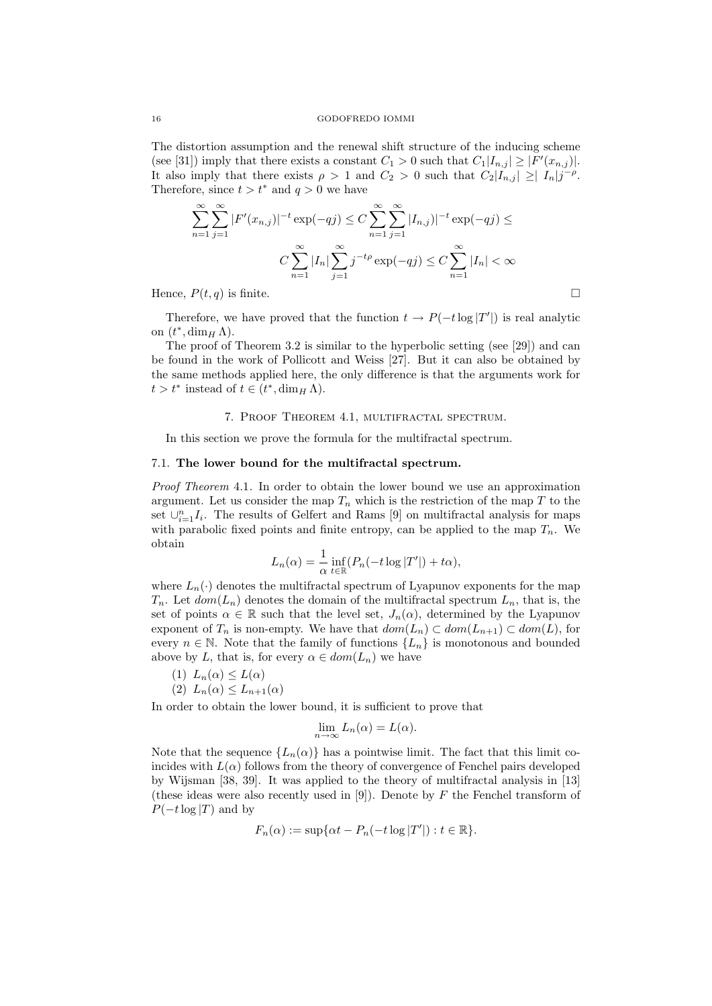The distortion assumption and the renewal shift structure of the inducing scheme (see [31]) imply that there exists a constant  $C_1 > 0$  such that  $C_1|I_{n,j}| \geq |F'(x_{n,j})|$ . It also imply that there exists  $\rho > 1$  and  $C_2 > 0$  such that  $C_2|I_{n,j}| \geq |I_n|j^{-\rho}$ . Therefore, since  $t>t^*$  and  $q>0$  we have

$$
\sum_{n=1}^{\infty} \sum_{j=1}^{\infty} |F'(x_{n,j})|^{-t} \exp(-qj) \le C \sum_{n=1}^{\infty} \sum_{j=1}^{\infty} |I_{n,j})|^{-t} \exp(-qj) \le
$$

$$
C \sum_{n=1}^{\infty} |I_n| \sum_{j=1}^{\infty} j^{-t\rho} \exp(-qj) \le C \sum_{n=1}^{\infty} |I_n| < \infty
$$
Hence,  $P(t, q)$  is finite.

Therefore, we have proved that the function  $t \to P(-t \log |T'|)$  is real analytic on  $(t^*, \dim_H \Lambda)$ .

The proof of Theorem 3.2 is similar to the hyperbolic setting (see [29]) and can be found in the work of Pollicott and Weiss [27]. But it can also be obtained by the same methods applied here, the only difference is that the arguments work for  $t > t^*$  instead of  $t \in (t^*, \dim_H \Lambda)$ .

### 7. Proof Theorem 4.1, multifractal spectrum.

In this section we prove the formula for the multifractal spectrum.

# 7.1. The lower bound for the multifractal spectrum.

Proof Theorem 4.1. In order to obtain the lower bound we use an approximation argument. Let us consider the map  $T_n$  which is the restriction of the map T to the set  $\cup_{i=1}^n I_i$ . The results of Gelfert and Rams [9] on multifractal analysis for maps with parabolic fixed points and finite entropy, can be applied to the map  $T_n$ . We obtain

$$
L_n(\alpha) = \frac{1}{\alpha} \inf_{t \in \mathbb{R}} (P_n(-t \log |T'|) + t\alpha),
$$

where  $L_n(\cdot)$  denotes the multifractal spectrum of Lyapunov exponents for the map  $T_n$ . Let  $dom(L_n)$  denotes the domain of the multifractal spectrum  $L_n$ , that is, the set of points  $\alpha \in \mathbb{R}$  such that the level set,  $J_n(\alpha)$ , determined by the Lyapunov exponent of  $T_n$  is non-empty. We have that  $dom(L_n) \subset dom(L_{n+1}) \subset dom(L)$ , for every  $n \in \mathbb{N}$ . Note that the family of functions  $\{L_n\}$  is monotonous and bounded above by L, that is, for every  $\alpha \in dom(L_n)$  we have

$$
(1) L_n(\alpha) \le L(\alpha)
$$

(2)  $L_n(\alpha) \leq L_{n+1}(\alpha)$ 

In order to obtain the lower bound, it is sufficient to prove that

$$
\lim_{n \to \infty} L_n(\alpha) = L(\alpha).
$$

Note that the sequence  ${L_n(\alpha)}$  has a pointwise limit. The fact that this limit coincides with  $L(\alpha)$  follows from the theory of convergence of Fenchel pairs developed by Wijsman [38, 39]. It was applied to the theory of multifractal analysis in [13] (these ideas were also recently used in [9]). Denote by  $F$  the Fenchel transform of  $P(-t \log |T)$  and by

$$
F_n(\alpha) := \sup \{ \alpha t - P_n(-t \log |T'|) : t \in \mathbb{R} \}.
$$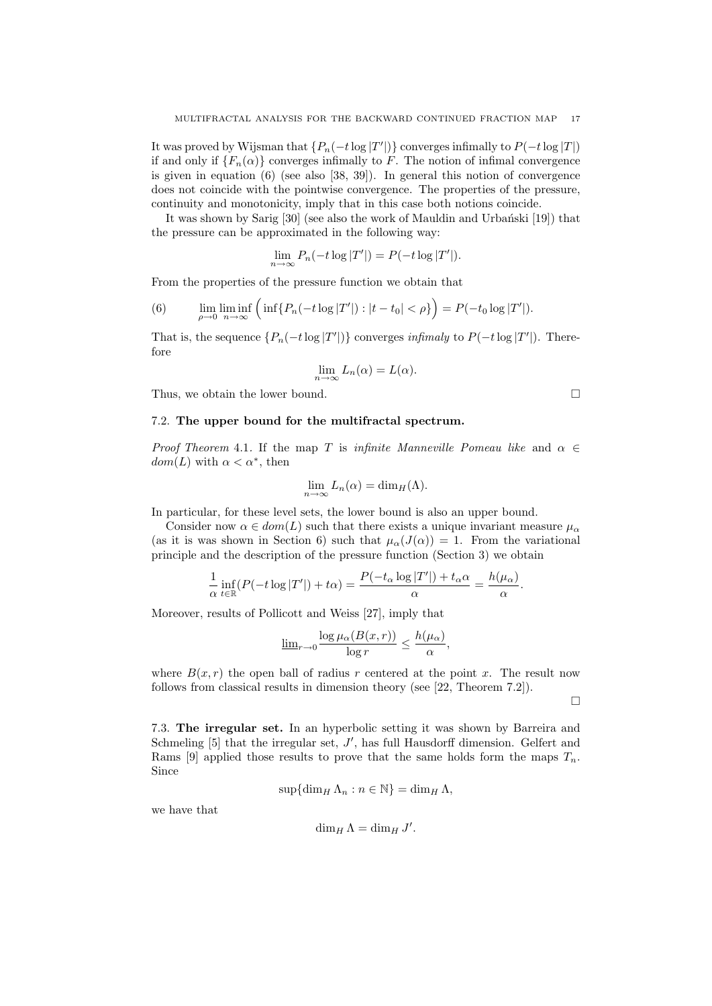It was proved by Wijsman that  $\{P_n(-t \log |T'|)\}$  converges infimally to  $P(-t \log |T|)$ if and only if  $\{F_n(\alpha)\}\$ converges infimally to F. The notion of infimal convergence is given in equation (6) (see also [38, 39]). In general this notion of convergence does not coincide with the pointwise convergence. The properties of the pressure, continuity and monotonicity, imply that in this case both notions coincide.

It was shown by Sarig [30] (see also the work of Mauldin and Urbański [19]) that the pressure can be approximated in the following way:

$$
\lim_{n \to \infty} P_n(-t \log |T'|) = P(-t \log |T'|).
$$

From the properties of the pressure function we obtain that

(6) 
$$
\lim_{\rho \to 0} \liminf_{n \to \infty} \left( \inf \{ P_n(-t \log |T'|) : |t - t_0| < \rho \} \right) = P(-t_0 \log |T'|).
$$

That is, the sequence  $\{P_n(-t \log |T'|)\}$  converges *infimaly* to  $P(-t \log |T'|)$ . Therefore

$$
\lim_{n \to \infty} L_n(\alpha) = L(\alpha).
$$

Thus, we obtain the lower bound.  $\Box$ 

### 7.2. The upper bound for the multifractal spectrum.

Proof Theorem 4.1. If the map T is infinite Manneville Pomeau like and  $\alpha \in$  $dom(L)$  with  $\alpha < \alpha^*$ , then

$$
\lim_{n \to \infty} L_n(\alpha) = \dim_H(\Lambda).
$$

In particular, for these level sets, the lower bound is also an upper bound.

Consider now  $\alpha \in dom(L)$  such that there exists a unique invariant measure  $\mu_{\alpha}$ (as it is was shown in Section 6) such that  $\mu_{\alpha}(J(\alpha)) = 1$ . From the variational principle and the description of the pressure function (Section 3) we obtain

$$
\frac{1}{\alpha} \inf_{t \in \mathbb{R}} (P(-t \log |T'|) + t\alpha) = \frac{P(-t_{\alpha} \log |T'|) + t_{\alpha} \alpha}{\alpha} = \frac{h(\mu_{\alpha})}{\alpha}.
$$

Moreover, results of Pollicott and Weiss [27], imply that

$$
\underline{\lim}_{r \to 0} \frac{\log \mu_{\alpha}(B(x,r))}{\log r} \le \frac{h(\mu_{\alpha})}{\alpha},
$$

where  $B(x, r)$  the open ball of radius r centered at the point x. The result now follows from classical results in dimension theory (see [22, Theorem 7.2]).

 $\Box$ 

7.3. The irregular set. In an hyperbolic setting it was shown by Barreira and Schmeling  $[5]$  that the irregular set,  $J'$ , has full Hausdorff dimension. Gelfert and Rams [9] applied those results to prove that the same holds form the maps  $T_n$ . Since

$$
\sup\{\dim_H \Lambda_n : n \in \mathbb{N}\} = \dim_H \Lambda,
$$

we have that

$$
\dim_H \Lambda = \dim_H J'.
$$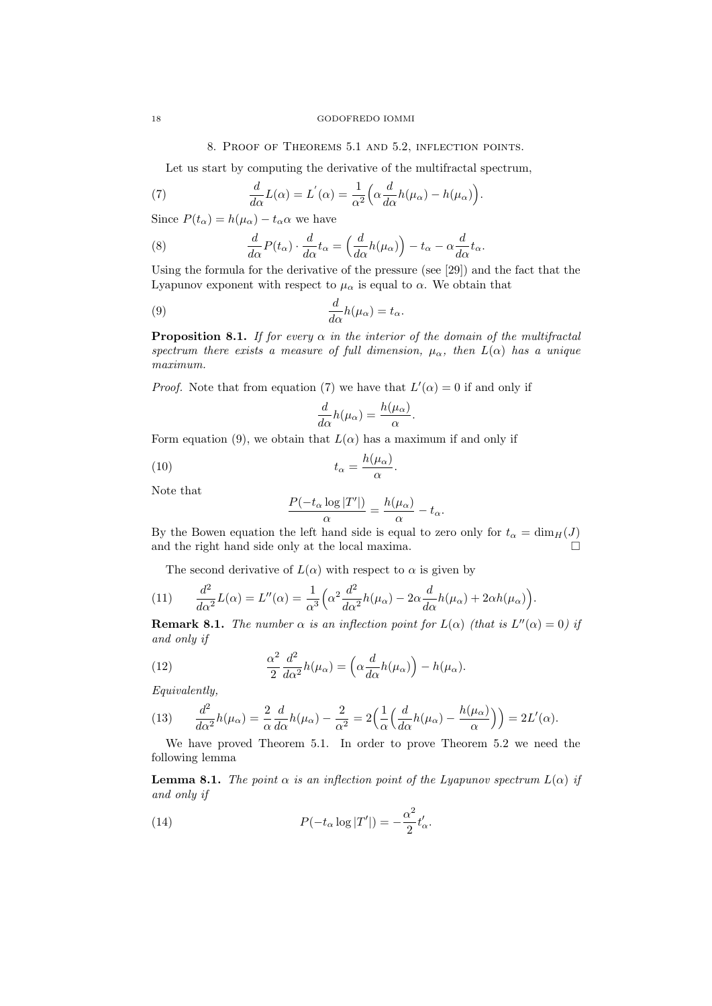### 8. Proof of Theorems 5.1 and 5.2, inflection points.

Let us start by computing the derivative of the multifractal spectrum,

(7) 
$$
\frac{d}{d\alpha}L(\alpha) = L^{'}(\alpha) = \frac{1}{\alpha^{2}}\Big(\alpha \frac{d}{d\alpha}h(\mu_{\alpha}) - h(\mu_{\alpha})\Big).
$$

Since  $P(t_{\alpha}) = h(\mu_{\alpha}) - t_{\alpha} \alpha$  we have

(8) 
$$
\frac{d}{d\alpha}P(t_{\alpha})\cdot\frac{d}{d\alpha}t_{\alpha} = \left(\frac{d}{d\alpha}h(\mu_{\alpha})\right) - t_{\alpha} - \alpha\frac{d}{d\alpha}t_{\alpha}.
$$

Using the formula for the derivative of the pressure (see [29]) and the fact that the Lyapunov exponent with respect to  $\mu_{\alpha}$  is equal to  $\alpha$ . We obtain that

(9) 
$$
\frac{d}{d\alpha}h(\mu_{\alpha})=t_{\alpha}.
$$

**Proposition 8.1.** If for every  $\alpha$  in the interior of the domain of the multifractal spectrum there exists a measure of full dimension,  $\mu_{\alpha}$ , then  $L(\alpha)$  has a unique maximum.

*Proof.* Note that from equation (7) we have that  $L'(\alpha) = 0$  if and only if

$$
\frac{d}{d\alpha}h(\mu_{\alpha}) = \frac{h(\mu_{\alpha})}{\alpha}.
$$

Form equation (9), we obtain that  $L(\alpha)$  has a maximum if and only if

(10) 
$$
t_{\alpha} = \frac{h(\mu_{\alpha})}{\alpha}.
$$

Note that

$$
\frac{P(-t_{\alpha}\log|T'|)}{\alpha} = \frac{h(\mu_{\alpha})}{\alpha} - t_{\alpha}.
$$

By the Bowen equation the left hand side is equal to zero only for  $t_{\alpha} = \dim_H(J)$ and the right hand side only at the local maxima.

The second derivative of  $L(\alpha)$  with respect to  $\alpha$  is given by

(11) 
$$
\frac{d^2}{d\alpha^2}L(\alpha) = L''(\alpha) = \frac{1}{\alpha^3} \left(\alpha^2 \frac{d^2}{d\alpha^2}h(\mu_\alpha) - 2\alpha \frac{d}{d\alpha}h(\mu_\alpha) + 2\alpha h(\mu_\alpha)\right).
$$

**Remark 8.1.** The number  $\alpha$  is an inflection point for  $L(\alpha)$  (that is  $L''(\alpha) = 0$ ) if and only if

(12) 
$$
\frac{\alpha^2}{2} \frac{d^2}{d\alpha^2} h(\mu_\alpha) = \left(\alpha \frac{d}{d\alpha} h(\mu_\alpha)\right) - h(\mu_\alpha).
$$

Equivalently,

(13) 
$$
\frac{d^2}{d\alpha^2}h(\mu_\alpha) = \frac{2}{\alpha}\frac{d}{d\alpha}h(\mu_\alpha) - \frac{2}{\alpha^2} = 2\Big(\frac{1}{\alpha}\Big(\frac{d}{d\alpha}h(\mu_\alpha) - \frac{h(\mu_\alpha)}{\alpha}\Big)\Big) = 2L'(\alpha).
$$

We have proved Theorem 5.1. In order to prove Theorem 5.2 we need the following lemma

**Lemma 8.1.** The point  $\alpha$  is an inflection point of the Lyapunov spectrum  $L(\alpha)$  if and only if

(14) 
$$
P(-t_{\alpha}\log|T'|) = -\frac{\alpha^2}{2}t'_{\alpha}.
$$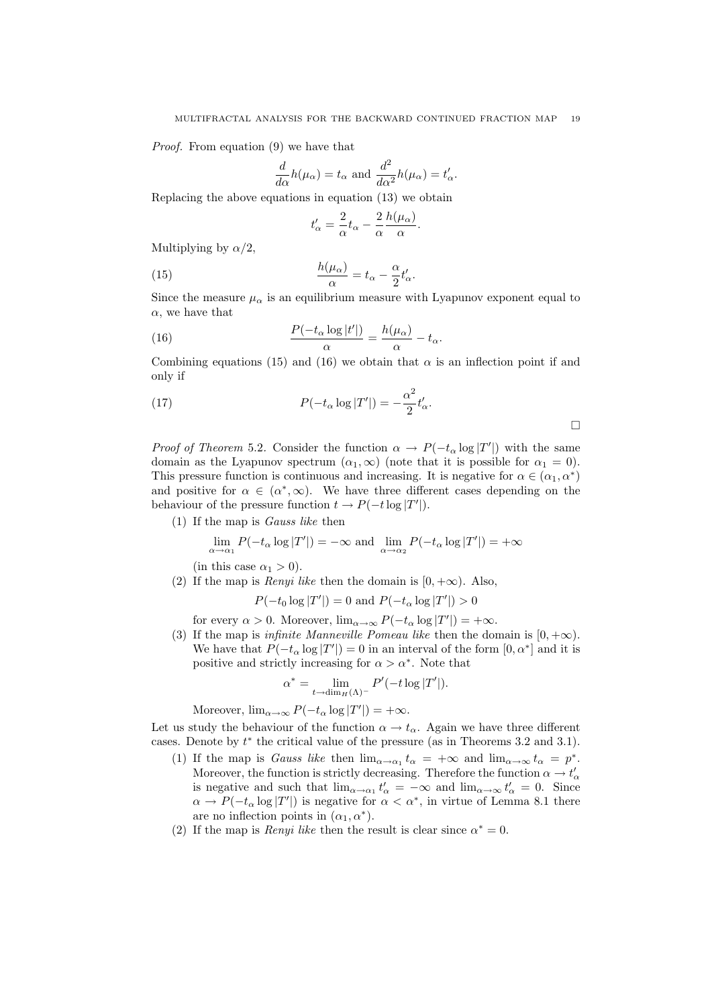Proof. From equation (9) we have that

$$
\frac{d}{d\alpha}h(\mu_{\alpha}) = t_{\alpha} \text{ and } \frac{d^2}{d\alpha^2}h(\mu_{\alpha}) = t'_{\alpha}.
$$

Replacing the above equations in equation  $(13)$  we obtain

$$
t'_\alpha = \frac{2}{\alpha} t_\alpha - \frac{2}{\alpha} \frac{h(\mu_\alpha)}{\alpha}.
$$

Multiplying by  $\alpha/2$ .

(15) 
$$
\frac{h(\mu_{\alpha})}{\alpha} = t_{\alpha} - \frac{\alpha}{2}t'_{\alpha}.
$$

Since the measure  $\mu_{\alpha}$  is an equilibrium measure with Lyapunov exponent equal to  $\alpha$ , we have that

(16) 
$$
\frac{P(-t_{\alpha}\log|t'|)}{\alpha} = \frac{h(\mu_{\alpha})}{\alpha} - t_{\alpha}.
$$

Combining equations (15) and (16) we obtain that  $\alpha$  is an inflection point if and only if

(17) 
$$
P(-t_{\alpha}\log|T'|) = -\frac{\alpha^2}{2}t'_{\alpha}.
$$

*Proof of Theorem* 5.2. Consider the function  $\alpha \to P(-t_\alpha \log |T'|)$  with the same domain as the Lyapunov spectrum  $(\alpha_1, \infty)$  (note that it is possible for  $\alpha_1 = 0$ ). This pressure function is continuous and increasing. It is negative for  $\alpha \in (\alpha_1, \alpha^*)$ and positive for  $\alpha \in (\alpha^*, \infty)$ . We have three different cases depending on the behaviour of the pressure function  $t \to P(-t \log |T'|)$ .

(1) If the map is Gauss like then

$$
\lim_{\alpha \to \alpha_1} P(-t_\alpha \log |T'|) = -\infty \text{ and } \lim_{\alpha \to \alpha_2} P(-t_\alpha \log |T'|) = +\infty
$$

(in this case  $\alpha_1 > 0$ ).

(2) If the map is *Renyi like* then the domain is  $[0, +\infty)$ . Also,

$$
P(-t_0 \log |T'|) = 0
$$
 and  $P(-t_\alpha \log |T'|) > 0$ 

for every  $\alpha > 0$ . Moreover,  $\lim_{\alpha \to \infty} P(-t_{\alpha} \log |T'|) = +\infty$ .

(3) If the map is *infinite Manneville Pomeau like* then the domain is  $[0, +\infty)$ . We have that  $P(-t_{\alpha} \log |T'|) = 0$  in an interval of the form  $[0, \alpha^*]$  and it is positive and strictly increasing for  $\alpha > \alpha^*$ . Note that

$$
\alpha^* = \lim_{t \to \dim_H(\Lambda)^-} P'(-t \log |T'|).
$$

Moreover,  $\lim_{\alpha \to \infty} P(-t_{\alpha} \log |T'|) = +\infty$ .

Let us study the behaviour of the function  $\alpha \to t_{\alpha}$ . Again we have three different cases. Denote by  $t^*$  the critical value of the pressure (as in Theorems 3.2 and 3.1).

- (1) If the map is Gauss like then  $\lim_{\alpha\to\alpha_1} t_\alpha = +\infty$  and  $\lim_{\alpha\to\infty} t_\alpha = p^*$ . Moreover, the function is strictly decreasing. Therefore the function  $\alpha \to t'_{\alpha}$ is negative and such that  $\lim_{\alpha \to \alpha_1} t'_\alpha = -\infty$  and  $\lim_{\alpha \to \infty} t'_\alpha = 0$ . Since  $\alpha \to P(-t_\alpha \log |T'|)$  is negative for  $\alpha < \alpha^*$ , in virtue of Lemma 8.1 there are no inflection points in  $(\alpha_1, \alpha^*)$ .
- (2) If the map is *Renyi like* then the result is clear since  $\alpha^* = 0$ .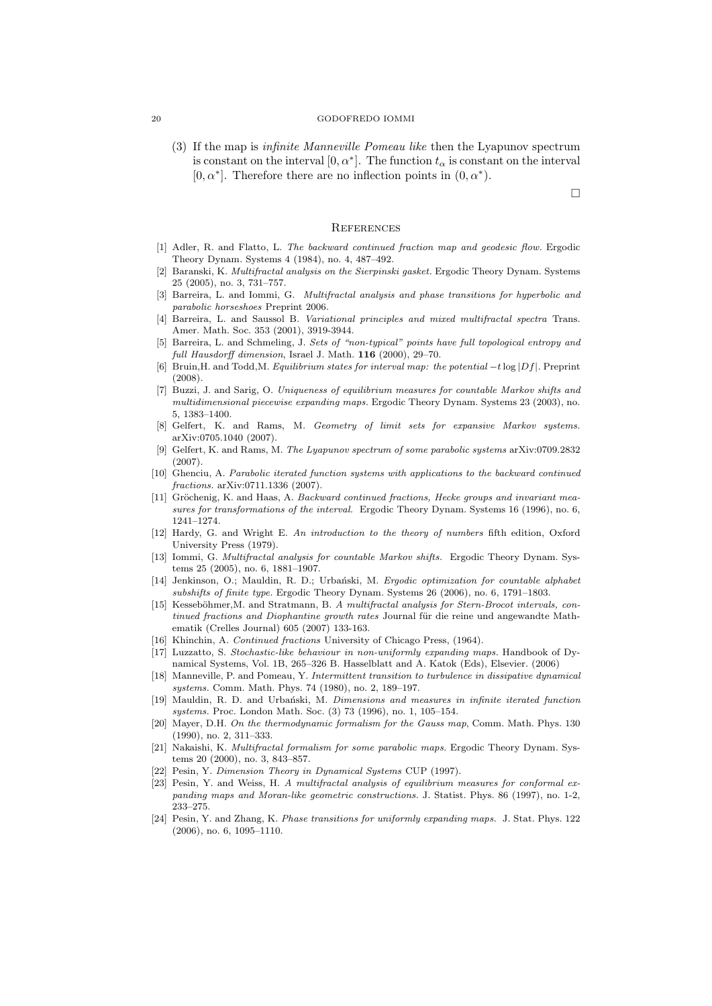(3) If the map is infinite Manneville Pomeau like then the Lyapunov spectrum is constant on the interval  $[0, \alpha^*]$ . The function  $t_{\alpha}$  is constant on the interval  $[0, \alpha^*]$ . Therefore there are no inflection points in  $(0, \alpha^*)$ .

 $\Box$ 

### **REFERENCES**

- [1] Adler, R. and Flatto, L. The backward continued fraction map and geodesic flow. Ergodic Theory Dynam. Systems 4 (1984), no. 4, 487–492.
- [2] Baranski, K. Multifractal analysis on the Sierpinski gasket. Ergodic Theory Dynam. Systems 25 (2005), no. 3, 731–757.
- [3] Barreira, L. and Iommi, G. Multifractal analysis and phase transitions for hyperbolic and parabolic horseshoes Preprint 2006.
- [4] Barreira, L. and Saussol B. Variational principles and mixed multifractal spectra Trans. Amer. Math. Soc. 353 (2001), 3919-3944.
- [5] Barreira, L. and Schmeling, J. Sets of "non-typical" points have full topological entropy and full Hausdorff dimension, Israel J. Math. **116** (2000), 29-70.
- [6] Bruin,H. and Todd,M. Equilibrium states for interval map: the potential −*t*log |*Df*|. Preprint (2008).
- [7] Buzzi, J. and Sarig, O. Uniqueness of equilibrium measures for countable Markov shifts and multidimensional piecewise expanding maps. Ergodic Theory Dynam. Systems 23 (2003), no. 5, 1383–1400.
- [8] Gelfert, K. and Rams, M. Geometry of limit sets for expansive Markov systems. arXiv:0705.1040 (2007).
- [9] Gelfert, K. and Rams, M. The Lyapunov spectrum of some parabolic systems arXiv:0709.2832 (2007).
- [10] Ghenciu, A. Parabolic iterated function systems with applications to the backward continued fractions. arXiv:0711.1336 (2007).
- [11] Gröchenig, K. and Haas, A. Backward continued fractions, Hecke groups and invariant measures for transformations of the interval. Ergodic Theory Dynam. Systems 16 (1996), no. 6, 1241–1274.
- [12] Hardy, G. and Wright E. An introduction to the theory of numbers fifth edition, Oxford University Press (1979).
- [13] Iommi, G. Multifractal analysis for countable Markov shifts. Ergodic Theory Dynam. Systems 25 (2005), no. 6, 1881–1907.
- [14] Jenkinson, O.; Mauldin, R. D.; Urbański, M. Ergodic optimization for countable alphabet subshifts of finite type. Ergodic Theory Dynam. Systems 26 (2006), no. 6, 1791–1803.
- [15] Kesseböhmer, M. and Stratmann, B. A multifractal analysis for Stern-Brocot intervals, continued fractions and Diophantine growth rates Journal für die reine und angewandte Mathematik (Crelles Journal) 605 (2007) 133-163.
- [16] Khinchin, A. Continued fractions University of Chicago Press, (1964).
- [17] Luzzatto, S. Stochastic-like behaviour in non-uniformly expanding maps. Handbook of Dynamical Systems, Vol. 1B, 265–326 B. Hasselblatt and A. Katok (Eds), Elsevier. (2006)
- [18] Manneville, P. and Pomeau, Y. Intermittent transition to turbulence in dissipative dynamical systems. Comm. Math. Phys. 74 (1980), no. 2, 189–197.
- [19] Mauldin, R. D. and Urbański, M. Dimensions and measures in infinite iterated function systems. Proc. London Math. Soc. (3) 73 (1996), no. 1, 105–154.
- [20] Mayer, D.H. On the thermodynamic formalism for the Gauss map, Comm. Math. Phys. 130 (1990), no. 2, 311–333.
- [21] Nakaishi, K. Multifractal formalism for some parabolic maps. Ergodic Theory Dynam. Systems 20 (2000), no. 3, 843–857.
- [22] Pesin, Y. Dimension Theory in Dynamical Systems CUP (1997).
- [23] Pesin, Y. and Weiss, H. A multifractal analysis of equilibrium measures for conformal expanding maps and Moran-like geometric constructions. J. Statist. Phys. 86 (1997), no. 1-2, 233–275.
- [24] Pesin, Y. and Zhang, K. Phase transitions for uniformly expanding maps. J. Stat. Phys. 122 (2006), no. 6, 1095–1110.